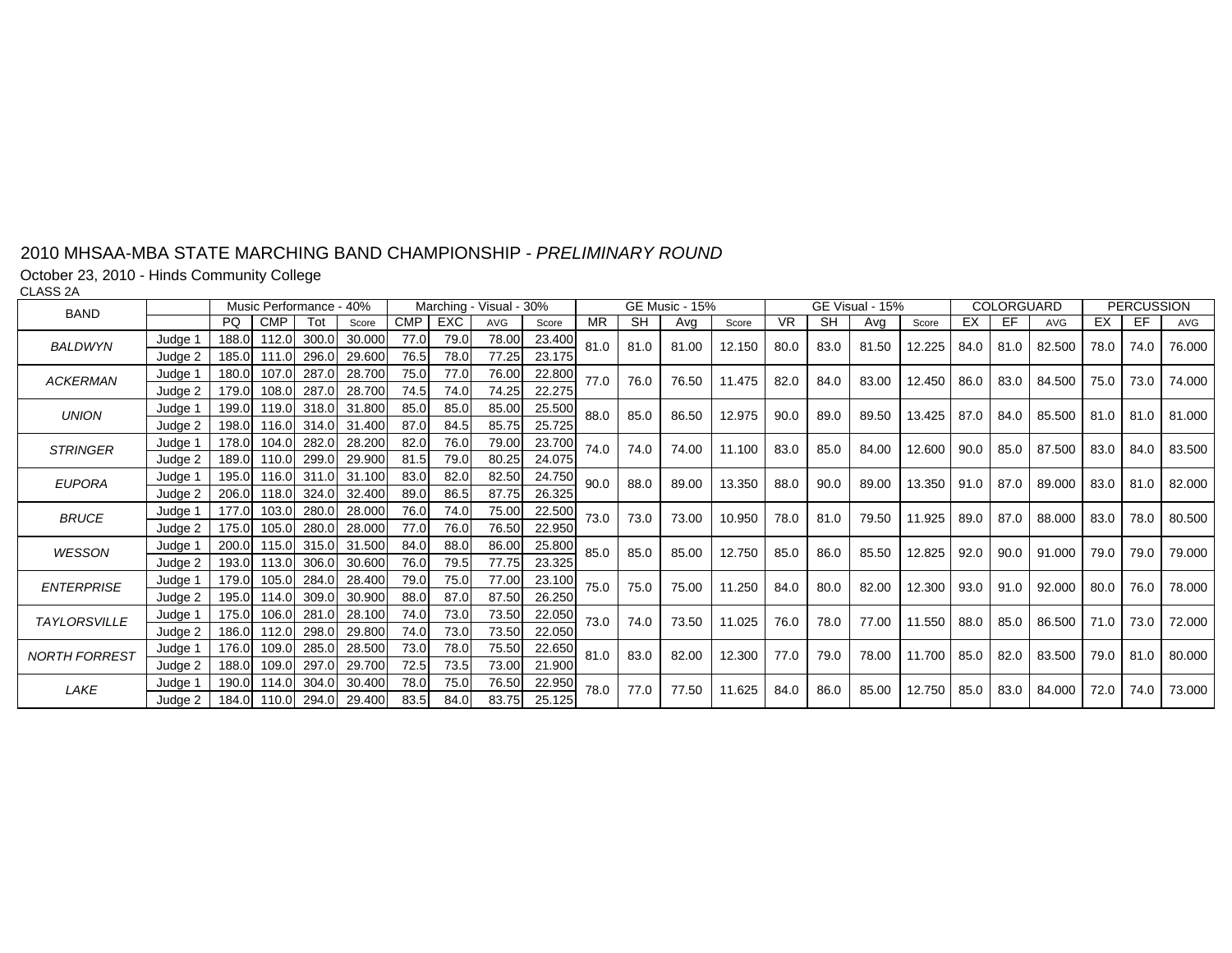October 23, 2010 - Hinds Community College

CLASS 2A

| <b>BAND</b>          |         |           | Music Performance - 40% |       |        |            |      | Marching - Visual - 30% |        |           |           | <b>GE Music - 15%</b> |        |      |           | GE Visual - 15% |        |      | COLORGUARD |            |      | <b>PERCUSSION</b> |        |
|----------------------|---------|-----------|-------------------------|-------|--------|------------|------|-------------------------|--------|-----------|-----------|-----------------------|--------|------|-----------|-----------------|--------|------|------------|------------|------|-------------------|--------|
|                      |         | <b>PQ</b> | <b>CMP</b>              | Tot   | Score  | <b>CMP</b> | EXC  | <b>AVG</b>              | Score  | <b>MR</b> | <b>SH</b> | Avg                   | Score  | VR.  | <b>SH</b> | Avg             | Score  | EX   | EF         | <b>AVG</b> | EX   | EF                | AVG    |
| <b>BALDWYN</b>       | Judge 1 | 188.0     | 112.0                   | 300.0 | 30.000 | 77.0       | 79.0 | 78.00                   | 23.400 | 81.0      | 81.0      | 81.00                 | 12.150 | 80.0 | 83.0      | 81.50           | 12.225 | 84.0 | 81.0       | 82.500     | 78.0 | 74.0              | 76.000 |
|                      | Judge 2 | 185.0     | 111.0                   | 296.0 | 29.600 | 76.5       | 78.0 | 77.25                   | 23.175 |           |           |                       |        |      |           |                 |        |      |            |            |      |                   |        |
| <b>ACKERMAN</b>      | Judge 1 | 180.0     | 107.0                   | 287.0 | 28.700 | 75.0       | 77.0 | 76.00                   | 22.800 | 77.0      | 76.0      | 76.50                 | 11.475 | 82.0 | 84.0      | 83.00           | 12.450 | 86.0 | 83.0       | 84.500     | 75.0 | 73.0              | 74.000 |
|                      | Judge 2 | 179.0     | 108.0                   | 287.0 | 28.700 | 74.5       | 74.0 | 74.25                   | 22.275 |           |           |                       |        |      |           |                 |        |      |            |            |      |                   |        |
| <b>UNION</b>         | Judge 1 | 199.0     | 119.0                   | 318.0 | 31.800 | 85.0       | 85.0 | 85.00                   | 25.500 | 88.0      | 85.0      | 86.50                 | 12.975 | 90.0 | 89.0      | 89.50           | 13.425 | 87.0 | 84.0       | 85.500     | 81.0 | 81.0              | 81.000 |
|                      | Judge 2 | 198.0     | 116.0                   | 314.0 | 31.400 | 87.0       | 84.5 | 85.75                   | 25.725 |           |           |                       |        |      |           |                 |        |      |            |            |      |                   |        |
| <b>STRINGER</b>      | Judge 1 | 178.0     | 104.0                   | 282.0 | 28.200 | 82.0       | 76.0 | 79.00                   | 23.700 | 74.0      | 74.0      | 74.00                 | 11.100 | 83.0 | 85.0      | 84.00           | 12.600 | 90.0 | 85.0       | 87.500     | 83.0 | 84.0              | 83.500 |
|                      | Judge 2 | 189.0     | 110.0                   | 299.0 | 29.900 | 81.5       | 79.0 | 80.25                   | 24.075 |           |           |                       |        |      |           |                 |        |      |            |            |      |                   |        |
| <b>EUPORA</b>        | Judge 1 | 195.0     | 116.0                   | 311.0 | 31.100 | 83.0       | 82.0 | 82.50                   | 24.750 | 90.0      | 88.0      | 89.00                 | 13.350 | 88.0 | 90.0      | 89.00           | 13.350 | 91.0 | 87.0       | 89.000     | 83.0 | 81.0              | 82.000 |
|                      | Judge 2 | 206.0     | 118.0                   | 324.0 | 32.400 | 89.0       | 86.5 | 87.75                   | 26.325 |           |           |                       |        |      |           |                 |        |      |            |            |      |                   |        |
| <b>BRUCE</b>         | Judge 1 | 177.0     | 103.0                   | 280.0 | 28.000 | 76.0       | 74.0 | 75.00                   | 22.500 | 73.0      | 73.0      | 73.00                 | 10.950 | 78.0 | 81.0      | 79.50           | 11.925 | 89.0 | 87.0       | 88.000     | 83.0 | 78.0              | 80.500 |
|                      | Judge 2 | 175.0     | 105.0                   | 280.0 | 28.000 | 77.0       | 76.0 | 76.50                   | 22.950 |           |           |                       |        |      |           |                 |        |      |            |            |      |                   |        |
| WESSON               | Judge 1 | 200.0     | 115.0                   | 315.0 | 31.500 | 84.0       | 88.0 | 86.00                   | 25.800 | 85.0      | 85.0      | 85.00                 | 12.750 | 85.0 | 86.0      | 85.50           | 12.825 | 92.0 | 90.0       | 91.000     | 79.0 | 79.0              | 79.000 |
|                      | Judge 2 | 193.0     | 113.0                   | 306.0 | 30.600 | 76.0       | 79.5 | 77.75                   | 23.325 |           |           |                       |        |      |           |                 |        |      |            |            |      |                   |        |
| <b>ENTERPRISE</b>    | Judge 1 | 179.0     | 105.0                   | 284.0 | 28.400 | 79.0       | 75.0 | 77.00                   | 23.100 | 75.0      | 75.0      | 75.00                 | 11.250 | 84.0 | 80.0      | 82.00           | 12.300 | 93.0 | 91.0       | 92.000     | 80.0 | 76.0              | 78.000 |
|                      | Judge 2 | 195.0     | 114.0                   | 309.0 | 30.900 | 88.0       | 87.0 | 87.50                   | 26.250 |           |           |                       |        |      |           |                 |        |      |            |            |      |                   |        |
| <b>TAYLORSVILLE</b>  | Judge 1 | 175.0     | 106.0                   | 281.0 | 28.100 | 74.0       | 73.0 | 73.50                   | 22.050 | 73.0      | 74.0      | 73.50                 | 11.025 | 76.0 | 78.0      | 77.00           | 11.550 | 88.0 | 85.0       | 86.500     | 71.0 | 73.0              | 72.000 |
|                      | Judge 2 | 186.0     | 112.0                   | 298.0 | 29.800 | 74.0       | 73.0 | 73.50                   | 22.050 |           |           |                       |        |      |           |                 |        |      |            |            |      |                   |        |
| <b>NORTH FORREST</b> | Judge 1 | 176.0     | 109.0                   | 285.0 | 28.500 | 73.0       | 78.0 | 75.50                   | 22.650 | 81.0      | 83.0      | 82.00                 | 12.300 | 77.0 | 79.0      | 78.00           | 11.700 | 85.0 | 82.0       | 83.500     | 79.0 | 81.0              | 80.000 |
|                      | Judge 2 | 188.0     | 109.0                   | 297.0 | 29.700 | 72.5       | 73.5 | 73.00                   | 21.900 |           |           |                       |        |      |           |                 |        |      |            |            |      |                   |        |
| LAKE                 | Judge 1 | 190.0     | 114.0                   | 304.0 | 30.400 | 78.0       | 75.0 | 76.50                   | 22.950 | 78.0      | 77.0      | 77.50                 | 11.625 | 84.0 | 86.0      | 85.00           | 12.750 | 85.0 | 83.0       | 84.000     | 72.0 | 74.0              | 73.000 |
|                      | Judge 2 | 184.0     | 110.0                   | 294.0 | 29.400 | 83.5       | 84.0 | 83.75                   | 25.125 |           |           |                       |        |      |           |                 |        |      |            |            |      |                   |        |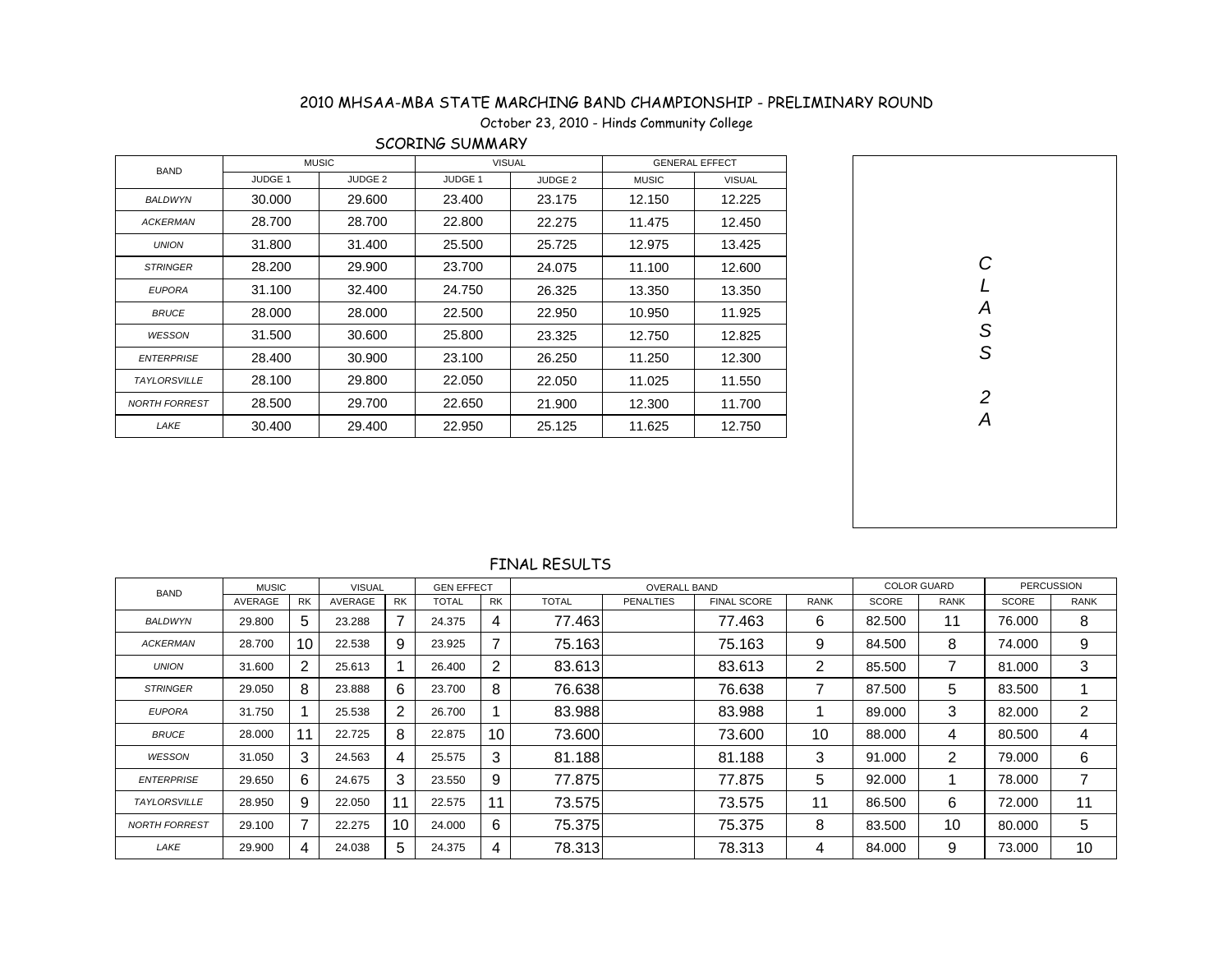### October 23, 2010 - Hinds Community College

| <b>BAND</b>          |                    | <b>MUSIC</b>       | <b>VISUAL</b>      |                    |              | <b>GENERAL EFFECT</b> |
|----------------------|--------------------|--------------------|--------------------|--------------------|--------------|-----------------------|
|                      | JUDGE <sub>1</sub> | JUDGE <sub>2</sub> | JUDGE <sub>1</sub> | JUDGE <sub>2</sub> | <b>MUSIC</b> | <b>VISUAL</b>         |
| <b>BALDWYN</b>       | 30.000             | 29,600             | 23.400             | 23.175             | 12.150       | 12.225                |
| <b>ACKERMAN</b>      | 28.700             | 28.700             | 22,800             | 22.275             | 11.475       | 12.450                |
| <b>UNION</b>         | 31.800             | 31.400             | 25.500             | 25.725             | 12.975       | 13.425                |
| <b>STRINGER</b>      | 28.200             | 29.900             | 23.700             | 24.075             | 11.100       | 12.600                |
| <b>EUPORA</b>        | 31.100             | 32.400             | 24.750             | 26.325             | 13.350       | 13.350                |
| <b>BRUCE</b>         | 28.000             | 28,000             | 22,500             | 22.950             | 10.950       | 11.925                |
| <b>WESSON</b>        | 31.500             | 30.600             | 25,800             | 23.325             | 12.750       | 12.825                |
| <b>ENTERPRISE</b>    | 28.400             | 30.900             | 23.100             | 26.250             | 11.250       | 12.300                |
| <b>TAYLORSVILLE</b>  | 28.100             | 29,800             | 22.050             | 22.050             | 11.025       | 11.550                |
| <b>NORTH FORREST</b> | 28.500             | 29.700             | 22.650             | 21.900             | 12.300       | 11.700                |
| LAKE                 | 30.400             | 29.400             | 22.950             | 25.125             | 11.625       | 12.750                |

#### SCORING SUMMARY

| $C L A S S$   |  |
|---------------|--|
|               |  |
|               |  |
|               |  |
|               |  |
| $\frac{2}{A}$ |  |
|               |  |
|               |  |
|               |  |
|               |  |
|               |  |
|               |  |
|               |  |
|               |  |

| <b>BAND</b>          | <b>MUSIC</b> |           | <b>VISUAL</b> |           | <b>GEN EFFECT</b> |           |              | <b>OVERALL BAND</b> |                    |             | <b>COLOR GUARD</b> |                | <b>PERCUSSION</b> |                |
|----------------------|--------------|-----------|---------------|-----------|-------------------|-----------|--------------|---------------------|--------------------|-------------|--------------------|----------------|-------------------|----------------|
|                      | AVERAGE      | <b>RK</b> | AVERAGE       | <b>RK</b> | <b>TOTAL</b>      | <b>RK</b> | <b>TOTAL</b> | <b>PENALTIES</b>    | <b>FINAL SCORE</b> | <b>RANK</b> | SCORE              | <b>RANK</b>    | SCORE             | <b>RANK</b>    |
| <b>BALDWYN</b>       | 29,800       | 5         | 23.288        |           | 24.375            | 4         | 77.463       |                     | 77.463             | 6           | 82,500             | 11             | 76.000            | 8              |
| <b>ACKERMAN</b>      | 28.700       | 10        | 22.538        | 9         | 23.925            | 7         | 75.163       |                     | 75.163             | 9           | 84.500             | 8              | 74.000            | 9              |
| <b>UNION</b>         | 31.600       | 2         | 25.613        |           | 26.400            | 2         | 83.613       |                     | 83.613             | 2           | 85.500             | 7              | 81.000            | 3              |
| <b>STRINGER</b>      | 29.050       | 8         | 23.888        | 6         | 23.700            | 8         | 76.638       |                     | 76.638             |             | 87.500             | 5              | 83.500            |                |
| <b>EUPORA</b>        | 31.750       |           | 25.538        | 2         | 26.700            |           | 83.988       |                     | 83.988             |             | 89,000             | 3              | 82.000            | $\overline{2}$ |
| <b>BRUCE</b>         | 28.000       | -1        | 22.725        | 8         | 22.875            | 10        | 73.600       |                     | 73.600             | 10          | 88.000             | 4              | 80.500            | 4              |
| WESSON               | 31.050       | 3         | 24.563        | 4         | 25.575            | 3         | 81.188       |                     | 81.188             | 3           | 91.000             | $\overline{2}$ | 79.000            | 6              |
| <b>ENTERPRISE</b>    | 29.650       | 6         | 24.675        | 3         | 23.550            | 9         | 77.875       |                     | 77.875             | 5           | 92.000             |                | 78.000            | $\overline{7}$ |
| <b>TAYLORSVILLE</b>  | 28.950       | 9         | 22.050        | 11        | 22.575            | 11        | 73.575       |                     | 73.575             | 11          | 86,500             | 6              | 72.000            | 11             |
| <b>NORTH FORREST</b> | 29.100       | 7         | 22.275        | 10        | 24.000            | 6         | 75.375       |                     | 75.375             | 8           | 83.500             | 10             | 80.000            | 5              |
| LAKE                 | 29.900       | 4         | 24.038        | 5         | 24.375            | 4         | 78.313       |                     | 78.313             | 4           | 84.000             | 9              | 73.000            | 10             |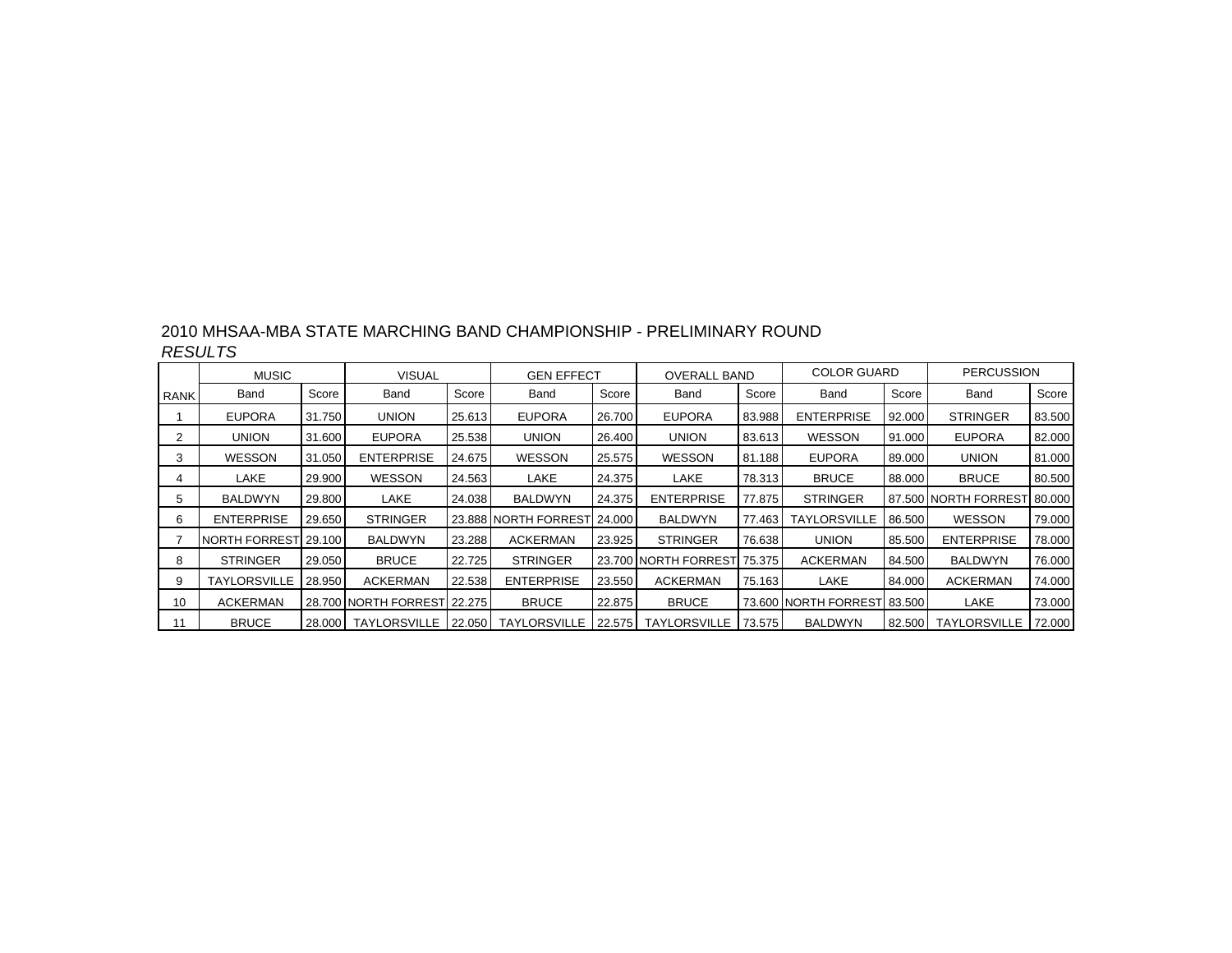| 2010 MHSAA-MBA STATE MARCHING BAND CHAMPIONSHIP - PRELIMINARY ROUND |  |
|---------------------------------------------------------------------|--|
| <b>RESULTS</b>                                                      |  |

|             | <b>MUSIC</b>          |        | <b>VISUAL</b>        |        | <b>GEN EFFECT</b>            |        | <b>OVERALL BAND</b>    |        | <b>COLOR GUARD</b>   |        | <b>PERCUSSION</b>    |        |
|-------------|-----------------------|--------|----------------------|--------|------------------------------|--------|------------------------|--------|----------------------|--------|----------------------|--------|
| <b>RANK</b> | Band                  | Score  | Band                 | Score  | Band                         | Score  | Band                   | Score  | Band                 | Score  | Band                 | Score  |
|             | <b>EUPORA</b>         | 31.750 | <b>UNION</b>         | 25.613 | <b>EUPORA</b>                | 26,700 | <b>EUPORA</b>          | 83.988 | <b>ENTERPRISE</b>    | 92.000 | <b>STRINGER</b>      | 83.500 |
|             | UNION                 | 31.600 | <b>EUPORA</b>        | 25.538 | <b>UNION</b>                 | 26.400 | <b>UNION</b>           | 83.613 | <b>WESSON</b>        | 91.000 | <b>EUPORA</b>        | 82.000 |
| 3           | <b>WESSON</b>         | 31.050 | <b>ENTERPRISE</b>    | 24.675 | <b>WESSON</b>                | 25.575 | WESSON                 | 81.188 | <b>EUPORA</b>        | 89.000 | <b>UNION</b>         | 81.000 |
| 4           | LAKE                  | 29.900 | <b>WESSON</b>        | 24.563 | LAKE                         | 24.375 | LAKE                   | 78.313 | <b>BRUCE</b>         | 88.000 | <b>BRUCE</b>         | 80.500 |
| 5.          | BALDWYN               | 29.800 | LAKE                 | 24.038 | <b>BALDWYN</b>               | 24.375 | <b>ENTERPRISE</b>      | 77.875 | <b>STRINGER</b>      |        | 87.500 NORTH FORREST | 80.000 |
| 6           | <b>ENTERPRISE</b>     | 29.650 | <b>STRINGER</b>      |        | 23.888 INORTH FORREST 24.000 |        | <b>BALDWYN</b>         | 77.463 | <b>TAYLORSVILLE</b>  | 86.500 | <b>WESSON</b>        | 79.000 |
|             | NORTH FORRESTI 29.100 |        | <b>BALDWYN</b>       | 23.288 | <b>ACKERMAN</b>              | 23.925 | <b>STRINGER</b>        | 76.638 | <b>UNION</b>         | 85.500 | <b>ENTERPRISE</b>    | 78.000 |
| 8           | <b>STRINGER</b>       | 29.050 | <b>BRUCE</b>         | 22.725 | <b>STRINGER</b>              |        | 23.700 INORTH FORRESTI | 75.375 | <b>ACKERMAN</b>      | 84.500 | <b>BALDWYN</b>       | 76.000 |
| 9           | <b>TAYLORSVILLE</b>   | 28.950 | <b>ACKERMAN</b>      | 22.538 | <b>ENTERPRISE</b>            | 23.550 | <b>ACKERMAN</b>        | 75.163 | LAKE                 | 84.000 | <b>ACKERMAN</b>      | 74.000 |
| 10          | <b>ACKERMAN</b>       |        | 28.700 NORTH FORREST | 22.275 | <b>BRUCE</b>                 | 22.875 | <b>BRUCE</b>           |        | 73.600 NORTH FORREST | 83.500 | LAKE                 | 73.000 |
| 11          | <b>BRUCE</b>          | 28.000 | I TAYLORSVILLE       | 22.050 | TAYLORSVILLE                 | 22.575 | <b>TAYLORSVILLE</b>    | 73.575 | <b>BALDWYN</b>       | 82.500 | <b>TAYLORSVILLE</b>  | 72.000 |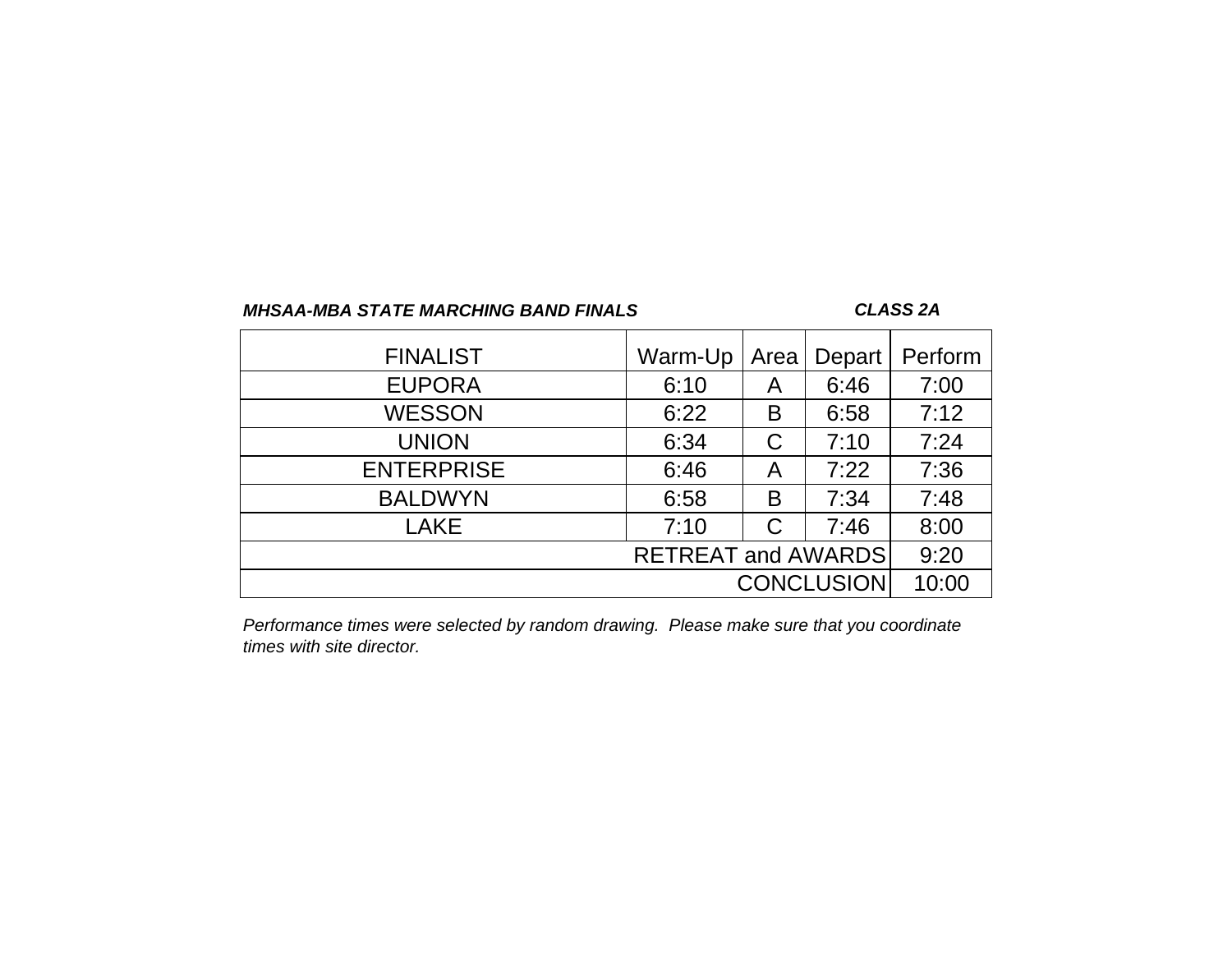### *CLASS 2A*

| <b>FINALIST</b>   | Warm-Up                   | Area | Depart            | Perform |
|-------------------|---------------------------|------|-------------------|---------|
| <b>EUPORA</b>     | 6:10                      | Α    | 6:46              | 7:00    |
| <b>WESSON</b>     | 6:22                      | В    | 6:58              | 7:12    |
| <b>UNION</b>      | 6:34                      | С    | 7:10              | 7:24    |
| <b>ENTERPRISE</b> | 6:46                      | A    | 7:22              | 7:36    |
| <b>BALDWYN</b>    | 6:58                      | B    | 7:34              | 7:48    |
| <b>LAKE</b>       | 7:10                      | C    | 7:46              | 8:00    |
|                   | <b>RETREAT and AWARDS</b> |      |                   | 9:20    |
|                   |                           |      | <b>CONCLUSION</b> | 10:00   |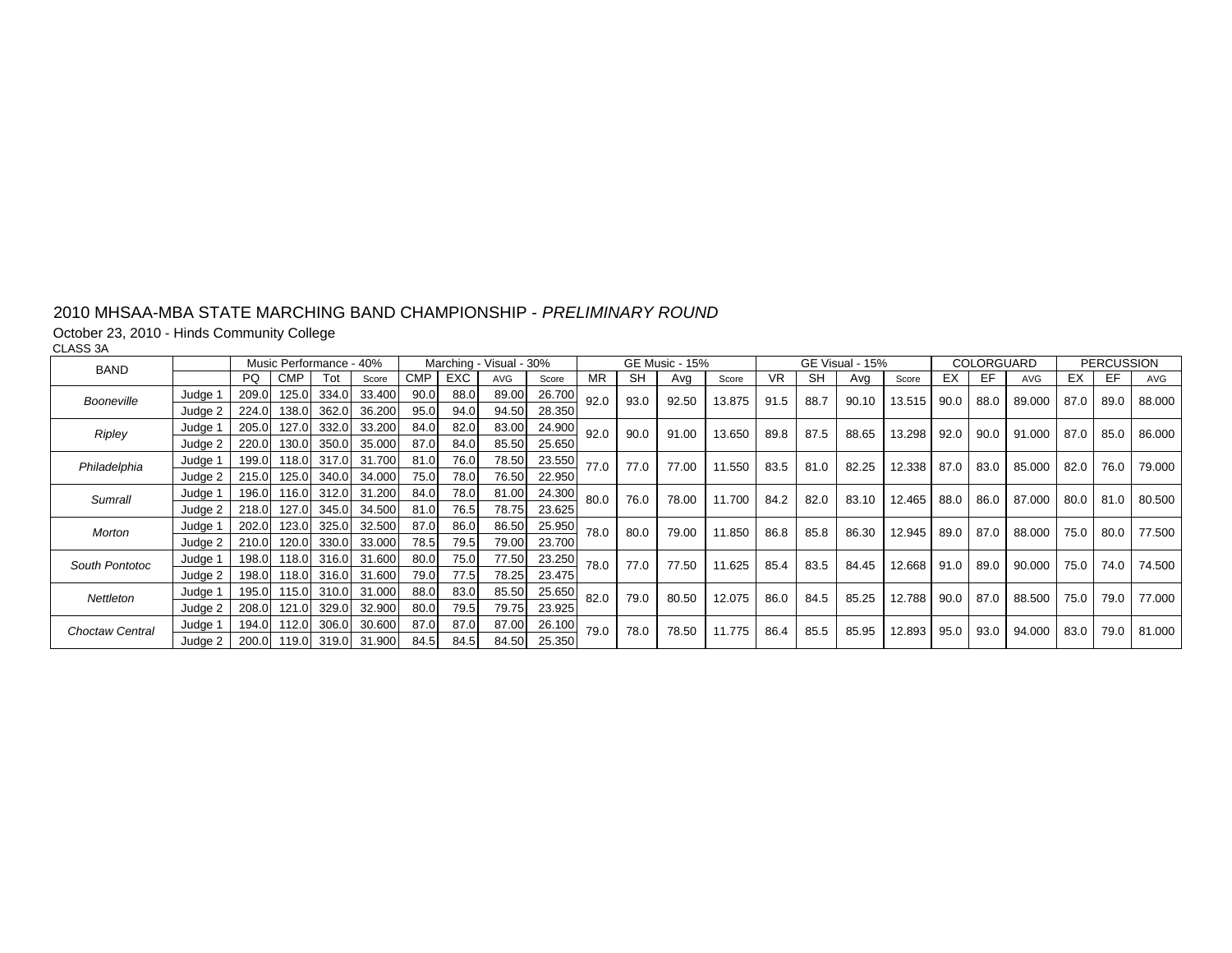# October 23, 2010 - Hinds Community College CLASS 3A

| <b>BAND</b>            |         |       |            | Music Performance - 40% |                    |            |      | Marching - Visual - 30% |        |      |           | <b>GE Music - 15%</b> |        |      |      | GE Visual - 15% |        |      | COLORGUARD |            |      | <b>PERCUSSION</b> |        |
|------------------------|---------|-------|------------|-------------------------|--------------------|------------|------|-------------------------|--------|------|-----------|-----------------------|--------|------|------|-----------------|--------|------|------------|------------|------|-------------------|--------|
|                        |         | PQ    | <b>CMP</b> | Tot                     | Score              | <b>CMP</b> | EXC. | AVG                     | Score  | МR   | <b>SH</b> | Avg                   | Score  | VR.  | SH   | Ava             | Score  | EX   | EF         | <b>AVG</b> | ЕX   | EF                | AVG    |
| Booneville             | Judge 1 | 209.0 | 125.0      | 334.0                   | 33.400             | 90.0       | 88.0 | 89.00                   | 26.700 | 92.0 | 93.0      | 92.50                 | 13.875 | 91.5 | 88.7 | 90.10           | 13.515 | 90.0 | 88.0       | 89.000     | 87.0 | 89.0              | 88.000 |
|                        | Judge 2 | 224.0 | 138.0      | 362.0                   | 36.200             | 95.0       | 94.0 | 94.50                   | 28.350 |      |           |                       |        |      |      |                 |        |      |            |            |      |                   |        |
| Ripley                 | Judge 1 | 205.0 | 127.0      | 332.0                   | 33.200             | 84.0       | 82.0 | 83.00                   | 24.900 | 92.0 | 90.0      | 91.00                 | 13.650 | 89.8 | 87.5 | 88.65           | 13.298 | 92.0 | 90.0       | 91.000     | 87.0 | 85.0              | 86.000 |
|                        | Judge 2 | 220.0 | 130.0      | 350.0                   | 35.000             | 87.0       | 84.0 | 85.50                   | 25.650 |      |           |                       |        |      |      |                 |        |      |            |            |      |                   |        |
| Philadelphia           | Judge 1 | 199.0 | 118.0      | 317.0                   | 31.700             | 81.0       | 76.0 | 78.50                   | 23.550 | 77.0 | 77.0      | 77.00                 | 11.550 | 83.5 | 81.0 | 82.25           | 12.338 | 87.0 | 83.0       | 85.000     | 82.0 | 76.0              | 79.000 |
|                        | Judge 2 | 215.0 | 125.0      | 340.0                   | 34.000             | 75.0       | 78.0 | 76.50                   | 22.950 |      |           |                       |        |      |      |                 |        |      |            |            |      |                   |        |
| Sumrall                | Judge 1 | 196.0 | 116.0      | 312.0                   | 31.200             | 84.0       | 78.0 | 81.00                   | 24.300 | 80.0 | 76.0      | 78.00                 | 11.700 | 84.2 | 82.0 | 83.10           | 12.465 | 88.0 | 86.0       | 87.000     | 80.0 | 81.0              | 80.500 |
|                        | Judge 2 | 218.0 | 127.0      | 345.0                   | 34.500             | 81.0       | 76.5 | 78.75                   | 23.625 |      |           |                       |        |      |      |                 |        |      |            |            |      |                   |        |
| <b>Morton</b>          | Judge 1 | 202.0 | 123.0      | 325.0                   | 32.500             | 87.0       | 86.0 | 86.50                   | 25.950 | 78.0 | 80.0      | 79.00                 | 11.850 | 86.8 | 85.8 | 86.30           | 12.945 | 89.0 | 87.0       | 88.000     | 75.0 | 80.0              | 77.500 |
|                        | Judge 2 | 210.0 | 120.0      | 330.0                   | 33.000             | 78.5       | 79.5 | 79.00                   | 23.700 |      |           |                       |        |      |      |                 |        |      |            |            |      |                   |        |
| South Pontotoc         | Judge 1 | 198.0 | 118.0      | 316.0                   | 31.600             | 80.0       | 75.0 | 77.50                   | 23.250 | 78.0 | 77.0      | 77.50                 | 11.625 | 85.4 | 83.5 | 84.45           | 12.668 | 91.0 | 89.0       | 90.000     | 75.0 | 74.0              | 74.500 |
|                        | Judge 2 | 198.0 | 118.0      | 316.0                   | 31.600             | 79.0       | 77.5 | 78.25                   | 23.475 |      |           |                       |        |      |      |                 |        |      |            |            |      |                   |        |
| Nettleton              | Judge 1 | 195.0 | 115.0      | 310.0                   | 31.000             | 88.0       | 83.0 | 85.50                   | 25.650 | 82.0 | 79.0      | 80.50                 | 12.075 | 86.0 | 84.5 | 85.25           | 12.788 | 90.0 | 87.0       | 88.500     | 75.0 | 79.0              | 77.000 |
|                        | Judge 2 | 208.0 | 121.0      | 329.0                   | 32.900             | 80.0       | 79.5 | 79.75                   | 23.925 |      |           |                       |        |      |      |                 |        |      |            |            |      |                   |        |
| <b>Choctaw Central</b> | Judge 1 | 194.0 | 112.0      | 306.0                   | 30.600             | 87.0       | 87.0 | 87.00                   | 26.100 | 79.0 | 78.0      | 78.50                 | 11.775 | 86.4 | 85.5 | 85.95           | 12.893 | 95.0 | 93.0       | 94.000     | 83.0 | 79.0              | 81.000 |
|                        | Judge 2 | 200.0 |            |                         | 119.0 319.0 31.900 | 84.5       | 84.5 | 84.50                   | 25.350 |      |           |                       |        |      |      |                 |        |      |            |            |      |                   |        |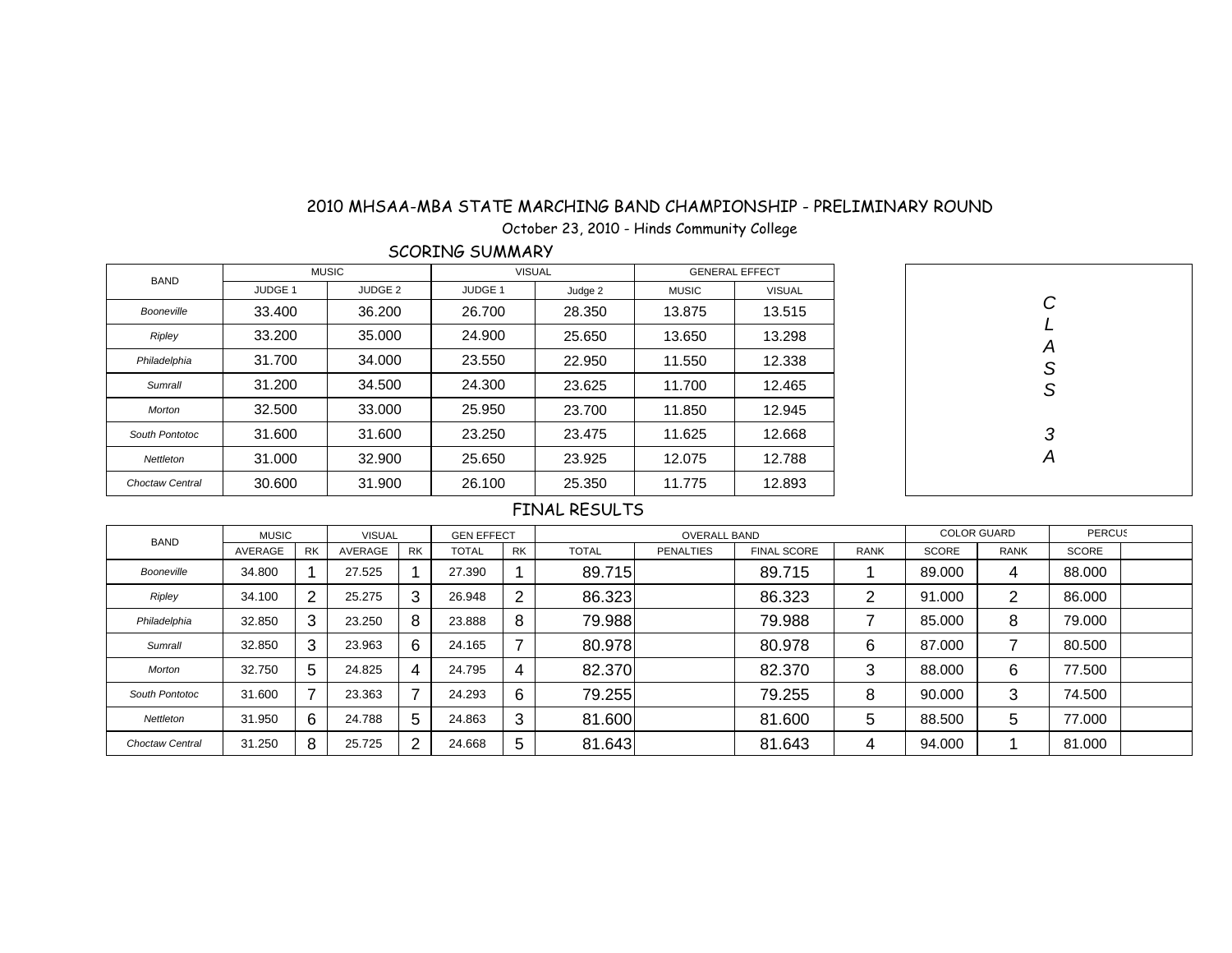October 23, 2010 - Hinds Community College

SCORING SUMMARY

| <b>BAND</b>            |                | <b>MUSIC</b>   | <b>VISUAL</b>  |         | <b>GENERAL EFFECT</b> |               |  |  |
|------------------------|----------------|----------------|----------------|---------|-----------------------|---------------|--|--|
|                        | <b>JUDGE 1</b> | <b>JUDGE 2</b> | <b>JUDGE 1</b> | Judge 2 | <b>MUSIC</b>          | <b>VISUAL</b> |  |  |
| Booneville             | 33.400         | 36.200         | 26.700         | 28.350  | 13.875                | 13.515        |  |  |
| Ripley                 | 33.200         | 35,000         | 24.900         | 25.650  | 13.650                | 13.298        |  |  |
| Philadelphia           | 31.700         | 34.000         | 23.550         | 22,950  | 11.550                | 12.338        |  |  |
| Sumrall                | 31.200         | 34.500         | 24.300         | 23.625  | 11.700                | 12.465        |  |  |
| Morton                 | 32.500         | 33.000         | 25.950         | 23.700  | 11.850                | 12.945        |  |  |
| South Pontotoc         | 31.600         | 31.600         | 23.250         | 23.475  | 11.625                | 12.668        |  |  |
| Nettleton              | 31.000         | 32,900         | 25.650         | 23.925  | 12.075                | 12.788        |  |  |
| <b>Choctaw Central</b> | 30.600         | 31.900         | 26.100         | 25.350  | 11.775                | 12.893        |  |  |



| <b>BAND</b>     | <b>MUSIC</b> |           | <b>VISUAL</b> |           | <b>GEN EFFECT</b> |           |              | <b>OVERALL BAND</b> |                    |             |              | <b>COLOR GUARD</b> | <b>PERCUS</b> |  |
|-----------------|--------------|-----------|---------------|-----------|-------------------|-----------|--------------|---------------------|--------------------|-------------|--------------|--------------------|---------------|--|
|                 | AVERAGE      | <b>RK</b> | AVERAGE       | <b>RK</b> | <b>TOTAL</b>      | <b>RK</b> | <b>TOTAL</b> | <b>PENALTIES</b>    | <b>FINAL SCORE</b> | <b>RANK</b> | <b>SCORE</b> | <b>RANK</b>        | <b>SCORE</b>  |  |
| Booneville      | 34.800       |           | 27.525        |           | 27.390            |           | 89.715       |                     | 89.715             |             | 89,000       | 4                  | 88,000        |  |
| Ripley          | 34.100       | 2         | 25.275        | 3         | 26.948            | റ         | 86.323       |                     | 86.323             | ⌒           | 91.000       | 2                  | 86,000        |  |
| Philadelphia    | 32.850       | 3         | 23.250        | 8         | 23.888            | 8         | 79.988       |                     | 79.988             |             | 85,000       | 8                  | 79.000        |  |
| Sumrall         | 32.850       | 3         | 23.963        | 6         | 24.165            | ⇁         | 80.978       |                     | 80.978             | 6           | 87.000       | ⇁                  | 80.500        |  |
| Morton          | 32.750       | 5         | 24.825        | 4         | 24.795            | 4         | 82.370       |                     | 82.370             | 3           | 88,000       | 6                  | 77.500        |  |
| South Pontotoc  | 31.600       | 7         | 23.363        |           | 24.293            | 6         | 79.255       |                     | 79.255             | 8           | 90.000       | 3                  | 74.500        |  |
| Nettleton       | 31.950       | 6         | 24.788        | 5         | 24.863            | 3         | 81.600       |                     | 81.600             | 5           | 88,500       | 5                  | 77.000        |  |
| Choctaw Central | 31.250       | 8         | 25.725        | ົ         | 24.668            | 5         | 81.643       |                     | 81.643             | 4           | 94.000       |                    | 81.000        |  |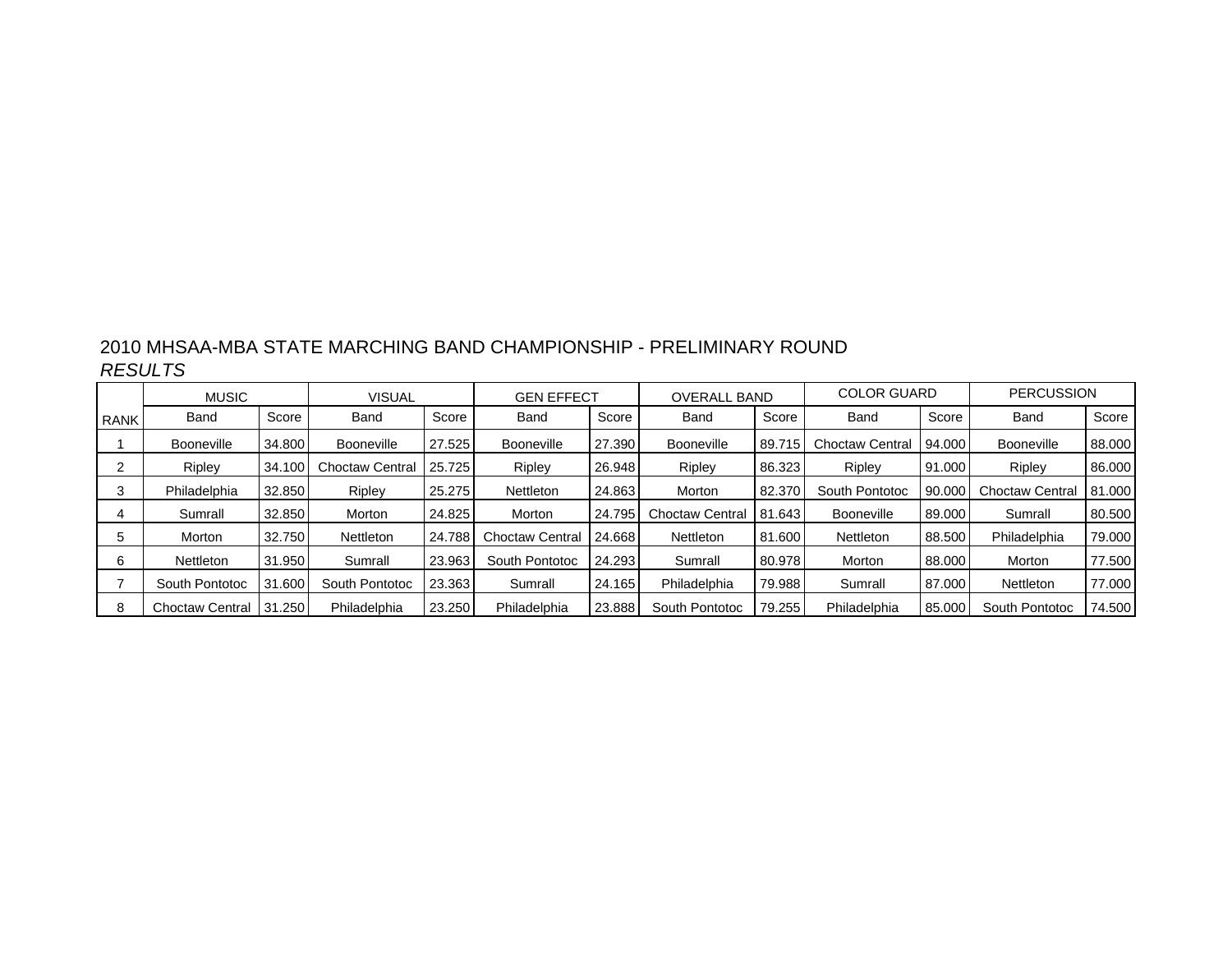| 2010 MHSAA-MBA STATE MARCHING BAND CHAMPIONSHIP - PRELIMINARY ROUND |  |
|---------------------------------------------------------------------|--|
| <b>RESULTS</b>                                                      |  |

|             | <b>MUSIC</b>           |        | <b>VISUAL</b>          |        | <b>GEN EFFECT</b>      |        | <b>OVERALL BAND</b> |        | <b>COLOR GUARD</b>     |        | <b>PERCUSSION</b>      |        |
|-------------|------------------------|--------|------------------------|--------|------------------------|--------|---------------------|--------|------------------------|--------|------------------------|--------|
| <b>RANK</b> | Band                   | Score  | Band                   | Score  | Band                   | Score  | Band                | Score  | Band                   | Score  | Band                   | Score  |
|             | <b>Booneville</b>      | 34.800 | <b>Booneville</b>      | 27.525 | <b>Booneville</b>      | 27.390 | <b>Booneville</b>   | 89.715 | <b>Choctaw Central</b> | 94.000 | <b>Booneville</b>      | 88.000 |
|             | Ripley                 | 34.100 | <b>Choctaw Central</b> | 25.725 | Ripley                 | 26.948 | <b>Ripley</b>       | 86.323 | Ripley                 | 91.000 | Ripley                 | 86.000 |
|             | Philadelphia           | 32.850 | Ripley                 | 25.275 | Nettleton              | 24.863 | Morton              | 82,370 | South Pontotoc         | 90.000 | <b>Choctaw Central</b> | 81,000 |
| 4           | Sumrall                | 32.850 | Morton                 | 24.825 | Morton                 | 24.795 | Choctaw Central     | 81.643 | Booneville             | 89.000 | Sumrall                | 80.500 |
|             | Morton                 | 32.750 | <b>Nettleton</b>       | 24.788 | <b>Choctaw Central</b> | 24.668 | <b>Nettleton</b>    | 81.600 | Nettleton              | 88.500 | Philadelphia           | 79.000 |
| 6           | <b>Nettleton</b>       | 31.950 | Sumrall                | 23.963 | South Pontotoc         | 24.293 | Sumrall             | 80.978 | Morton                 | 88.000 | Morton                 | 77.500 |
|             | South Pontotoc         | 31.600 | South Pontotoc         | 23.363 | Sumrall                | 24.165 | Philadelphia        | 79.988 | Sumrall                | 87.000 | <b>Nettleton</b>       | 77.000 |
| 8           | <b>Choctaw Central</b> | 31.250 | Philadelphia           | 23.250 | Philadelphia           | 23,888 | South Pontotoc      | 79.255 | Philadelphia           | 85,000 | South Pontotoc         | 74.500 |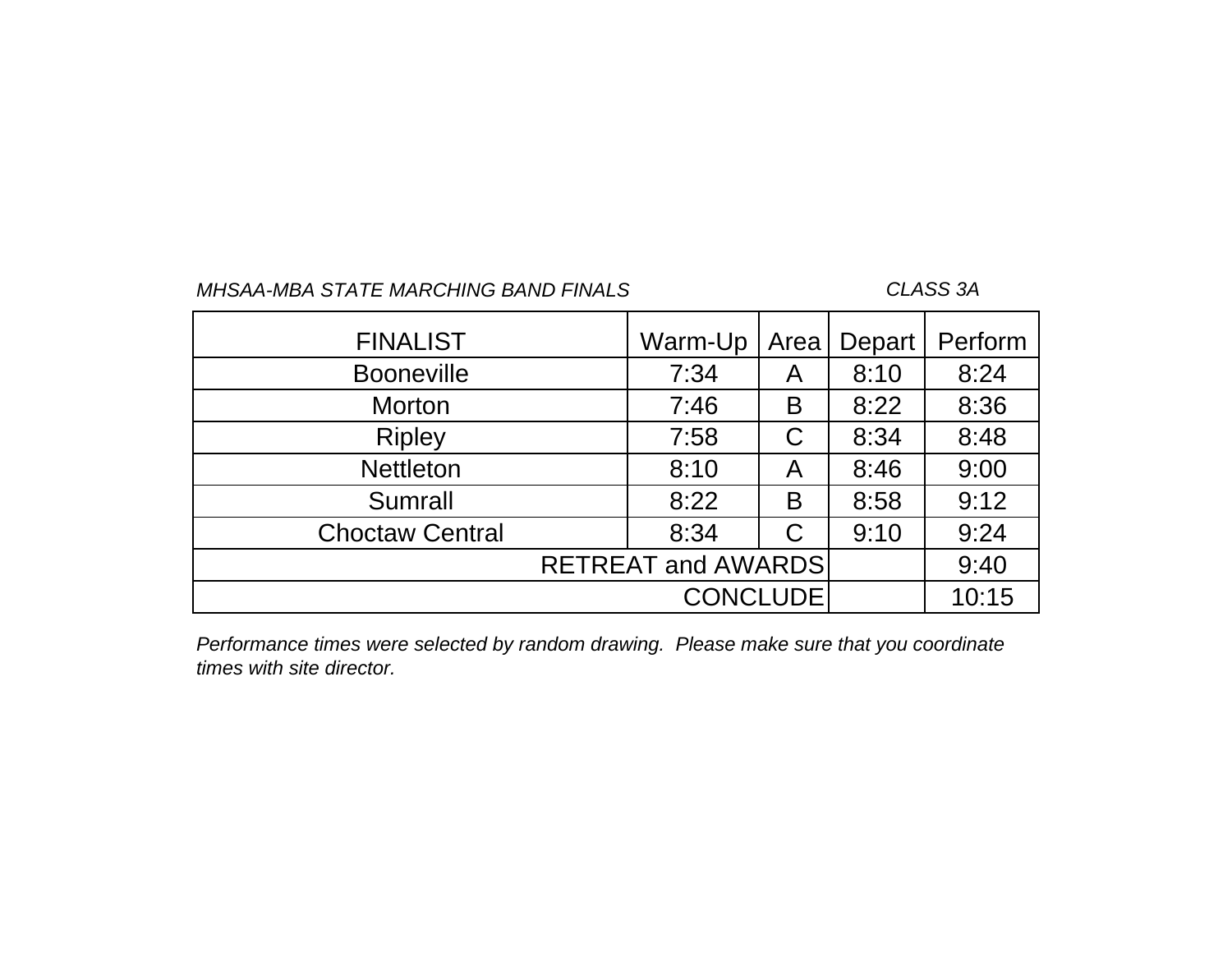### *CLASS 3A*

| <b>FINALIST</b>        | Warm-Up                   | Area | Depart | Perform |
|------------------------|---------------------------|------|--------|---------|
| <b>Booneville</b>      | 7:34                      | A    | 8:10   | 8:24    |
| <b>Morton</b>          | 7:46                      | B    | 8:22   | 8:36    |
| <b>Ripley</b>          | 7:58                      |      | 8:34   | 8:48    |
| <b>Nettleton</b>       | 8:10                      | A    | 8:46   | 9:00    |
| <b>Sumrall</b>         | 8:22                      | B    | 8:58   | 9:12    |
| <b>Choctaw Central</b> | 8:34                      |      | 9:10   | 9:24    |
|                        | <b>RETREAT and AWARDS</b> |      |        | 9:40    |
|                        | <b>CONCLUDE</b>           |      |        | 10:15   |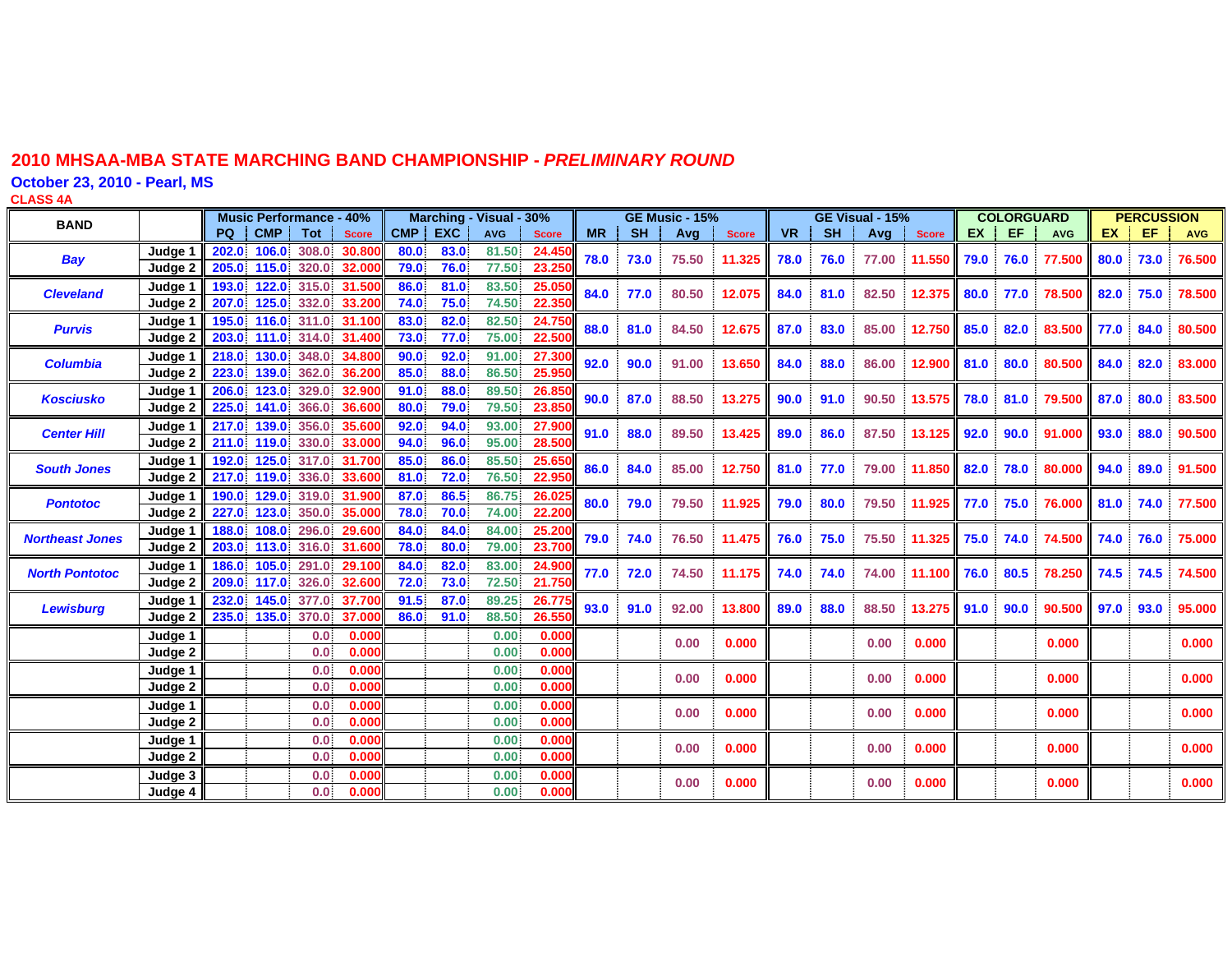**October 23, 2010 - Pearl, MS**

**CLASS 4 A**

| <b>BAND</b>            |         | <b>Music Performance - 40%</b> |            |             |              | Marching - Visual - 30% |            |            |              | <b>GE Music - 15%</b> |           |       |                  | GE Visual - 15% |           |       | <b>COLORGUARD</b> |           |      | <b>PERCUSSION</b> |      |      |            |
|------------------------|---------|--------------------------------|------------|-------------|--------------|-------------------------|------------|------------|--------------|-----------------------|-----------|-------|------------------|-----------------|-----------|-------|-------------------|-----------|------|-------------------|------|------|------------|
|                        |         | PQ                             | <b>CMP</b> | <b>Tot</b>  | <b>Score</b> | <b>CMP</b>              | <b>EXC</b> | <b>AVG</b> | <b>Score</b> | <b>MR</b>             | <b>SH</b> | Avg   | <b>Score</b>     | <b>VR</b>       | <b>SH</b> | Avg   | <b>Score</b>      | <b>EX</b> | EF   | <b>AVG</b>        | EX.  | EF   | <b>AVG</b> |
|                        | Judae   | 202.0                          | 106.0      | 308.0       | 30.800       | 80.0                    | 83.0       | 81.50      | 24.45        |                       |           |       |                  |                 |           |       |                   |           |      |                   |      |      |            |
| <b>Bay</b>             | Judge 2 | 205.0                          | 115.0      | 320.0       | 32.000       | 79.0                    | 76.0       | 77.50      | 23.25        | 78.0                  | 73.0      | 75.50 | 11.325           | 78.0            | 76.0      | 77.00 | 11.550            | 79.0      | 76.0 | 77.500            | 80.0 | 73.0 | 76.500     |
| <b>Cleveland</b>       | Judge 1 | 193.0                          | 122.0      | 315.0       | 31.500       | 86.0                    | 81.0       | 83.50      | 25.05        | 84.0                  | 77.0      | 80.50 | 12.075           | 84.0            | 81.0      | 82.50 | 12.375 80.0       |           | 77.0 | 78.500            | 82.0 | 75.0 | 78.500     |
|                        | Judge 2 | 207.0                          | 125.0      | 332.0       | 33.200       | 74.0                    | 75.0       | 74.50      | 22.35        |                       |           |       |                  |                 |           |       |                   |           |      |                   |      |      |            |
|                        | Judge 1 | 195.0                          | 116.0      | 311.0       | 31.100       | 83.0                    | 82.0       | 82.50      | 24.75        | 88.0                  | 81.0      | 84.50 | 12.675           |                 | 83.0      | 85.00 |                   |           |      | 83.500            | 77.0 | 84.0 | 80.500     |
| <b>Purvis</b>          | Judge 2 | 203.0                          |            | 111.0 314.0 | 31.400       | 73.0                    | 77.0       | 75.00      | 22.50        |                       |           |       |                  | 87.0            |           |       | 12.750 85.0       |           | 82.0 |                   |      |      |            |
| <b>Columbia</b>        | Judge 1 | 218.0                          | 130.0      | 348.0       | 34.800       | 90.0                    | 92.0       | 91.00      | 27.30        | 92.0                  | 90.0      | 91.00 | 13.650           | 84.0            | 88.0      | 86.00 | 12.900 81.0       |           | 80.0 | 80.500            | 84.0 | 82.0 | 83.000     |
|                        | Judge 2 | 223.0                          | 139.0      | 362.0       | 36,200       | 85.0                    | 88.0       | 86.50      | 25.95        |                       |           |       |                  |                 |           |       |                   |           |      |                   |      |      |            |
| <b>Kosciusko</b>       | Judge 1 | 206.0                          | 123.0      | 329.0       | 32.900       | 91.0                    | 88.0       | 89.50      | 26.85        | 90.0                  | 87.0      | 88.50 | 13.275           | 90.0            | 91.0      | 90.50 | 13.575            | 78.0      | 81.0 | 79.500            | 87.0 | 80.0 | 83.500     |
|                        | Judge 2 | 225.0                          | 141.0      | 366.0       | 36,600       | 80.0                    | 79.0       | 79.50      | 23.85        |                       |           |       |                  |                 |           |       |                   |           |      |                   |      |      |            |
| <b>Center Hill</b>     | Judge 1 | 217.0                          | 139.0      | 356.0       | 35,600       | 92.0                    | 94.0       | 93.00      | 27.90        | 91.0                  | 88.0      | 89.50 | 13.425           | 89.0            | 86.0      | 87.50 | 13.125            | 92.0      | 90.0 | 91.000            | 93.0 | 88.0 | 90.500     |
|                        | Judge 2 | 211.0                          | 119.0      | 330.0       | 33.000       | 94.0                    | 96.0       | 95.00      | 28.50        |                       |           |       |                  |                 |           |       |                   |           |      |                   |      |      |            |
| <b>South Jones</b>     | Judge 1 | 192.0                          | 125.0      | 317.0       | 31.700       | 85.0                    | 86.0       | 85.50      | 25.65        | 86.0                  | 84.0      | 85.00 | 12.750           | 81.0            | 77.0      | 79.00 | 11.850 82.0       |           | 78.0 | 80.000            | 94.0 | 89.0 | 91.500     |
|                        | Judge 2 | 217.0                          | 119.0      | 336.0       | 33,600       | 81.0                    | 72.0       | 76.50      | 22.95        |                       |           |       |                  |                 |           |       |                   |           |      |                   |      |      |            |
| <b>Pontotoc</b>        | Judae 1 | 190.0                          | 129.0      | 319.0       | 31,900       | 87.0                    | 86.5       | 86.75      | 26.02        | 80.0                  | 79.0      | 79.50 | 11.925           | 79.0            | 80.0      | 79.50 | 11.925 77.0       |           | 75.0 | 76.000            | 81.0 | 74.0 | 77.500     |
|                        | Judae 2 | 227.0                          | 123.0      | 350.0       | 35,000       | 78.0                    | 70.0       | 74.00      | 22.20        |                       |           |       |                  |                 |           |       |                   |           |      |                   |      |      |            |
| <b>Northeast Jones</b> | Judae 1 | 188.0                          | 108.0      | 296.0       | 29,600       | 84.0                    | 84.0       | 84.00      | 25.20        | 79.0                  | 74.0      | 76.50 | 11.475 <b>II</b> | 76.0            | 75.0      | 75.50 | 11.325            | 75.0      | 74.0 | 74.500            | 74.0 | 76.0 | 75.000     |
|                        | Judge 2 | 203.0                          | 113.0      | 316.0       | 31.600       | 78.0                    | 80.0       | 79.00      | 23.700       |                       |           |       |                  |                 |           |       |                   |           |      |                   |      |      |            |
| <b>North Pontotoc</b>  | Judge 1 | 186.0                          | 105.0      | 291.0       | 29.100       | 84.0                    | 82.0       | 83.00      | 24.90        | 77.0                  | 72.0      | 74.50 | 11.175           | 74.0            | 74.0      | 74.00 | 11.100            | 76.0      | 80.5 | 78.250            | 74.5 | 74.5 | 74.500     |
|                        | Judge 2 | 209.0                          | 117.0      | 326.0       | 32.600       | 72.0                    | 73.0       | 72.50      | 21.750       |                       |           |       |                  |                 |           |       |                   |           |      |                   |      |      |            |
| <b>Lewisburg</b>       | Judge 1 | 232.0                          | 145.0      | 377.0       | 37.700       | 91.5                    | 87.0       | 89.25      | 26.77        | 93.0                  | 91.0      | 92.00 | 13,800           | 89.0            | 88.0      | 88.50 | 13.275 91.0       |           | 90.0 | 90.500            | 97.0 | 93.0 | 95.000     |
|                        | Judge 2 | 235.0                          | 135.0      | 370.0       | 37,000       | 86.0                    | 91.0       | 88.50      | 26.55        |                       |           |       |                  |                 |           |       |                   |           |      |                   |      |      |            |
|                        | Judge 1 |                                |            | 0.0         | 0.000        |                         |            | 0.00       | 0.000        |                       |           | 0.00  | 0.000            |                 |           | 0.00  | 0.000             |           |      | 0.000             |      |      | 0.000      |
|                        | Judge 2 |                                |            | 0.0         | 0.000        |                         |            | 0.00       | 0.000        |                       |           |       |                  |                 |           |       |                   |           |      |                   |      |      |            |
|                        | Judge 1 |                                |            | 0.0         | 0.000        |                         |            | 0.00       | 0.000        |                       |           | 0.00  | 0.000            |                 |           | 0.00  | 0.000             |           |      | 0.000             |      |      | 0.000      |
|                        | Judge 2 |                                |            | 0.0         | 0.000        |                         |            | 0.00       | 0.000        |                       |           |       |                  |                 |           |       |                   |           |      |                   |      |      |            |
|                        | Judge 1 |                                |            | 0.0         | 0.000        |                         |            | 0.00       | 0.000        |                       |           | 0.00  | 0.000            |                 |           | 0.00  | 0.000             |           |      | 0.000             |      |      | 0.000      |
|                        | Judge 2 |                                |            | 0.0         | 0.000        |                         |            | 0.00       | 0.000        |                       |           |       |                  |                 |           |       |                   |           |      |                   |      |      |            |
|                        | Judge 1 |                                |            | 0.0         | 0.000        |                         |            | 0.00       | 0.000        |                       |           | 0.00  | 0.000            |                 |           | 0.00  | 0.000             |           |      | 0.000             |      |      | 0.000      |
|                        | Judge 2 |                                |            | 0.0         | 0.000        |                         |            | 0.00       | 0.000        |                       |           |       |                  |                 |           |       |                   |           |      |                   |      |      |            |
|                        | Judge 3 |                                |            | 0.0         | 0.000        |                         |            | 0.00       | 0.000        |                       |           | 0.00  | 0.000            |                 |           | 0.00  | 0.000             |           |      | 0.000             |      |      | 0.000      |
|                        | Judge 4 |                                |            | 0.0         | 0.000        |                         |            | 0.00       | 0.000        |                       |           |       |                  |                 |           |       |                   |           |      |                   |      |      |            |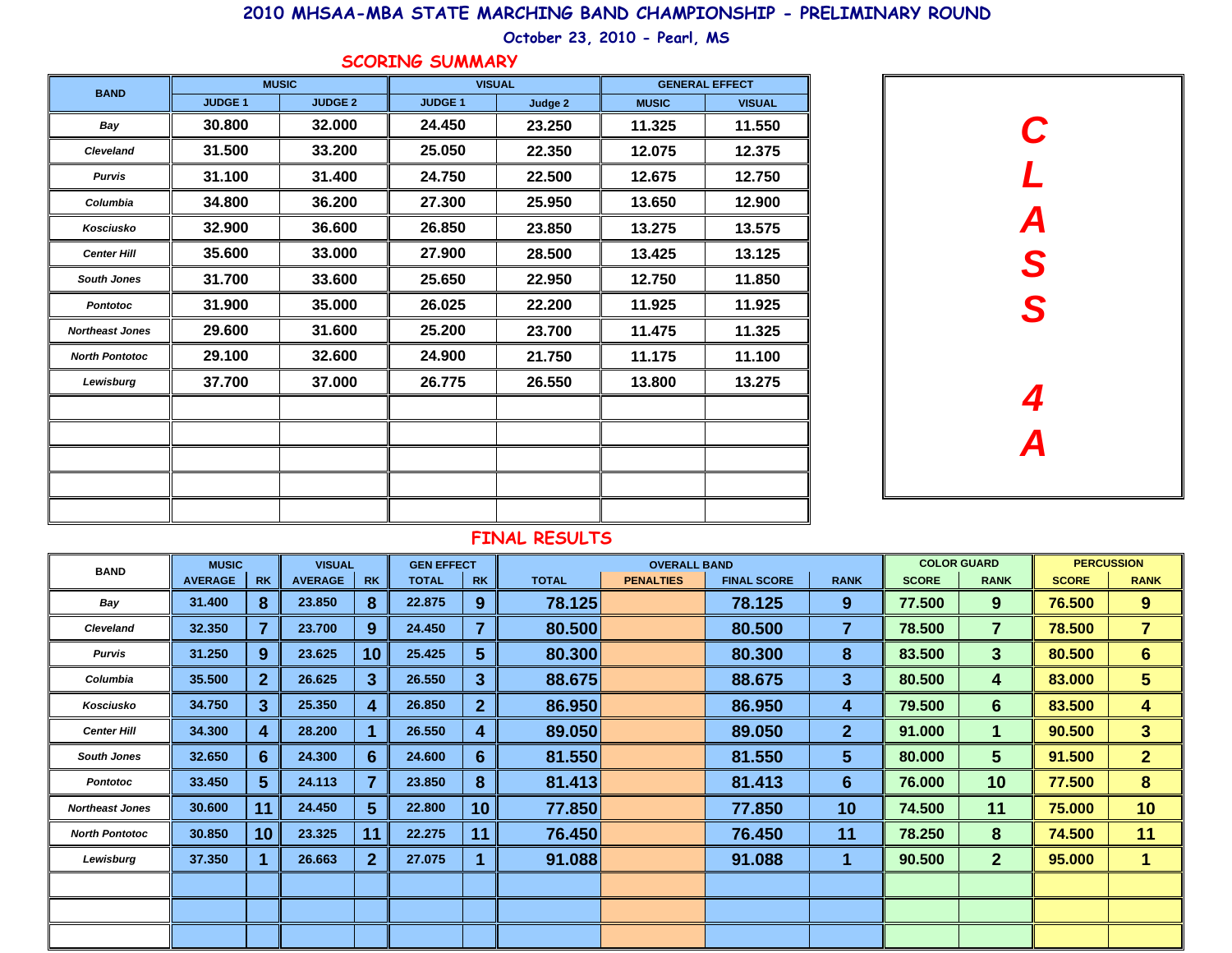**October 23, 2010 - Pearl, MS**

#### **SCORING SUMMARY**

| <b>BAND</b>            |               | <b>MUSIC</b>   | <b>VISUAL</b> |         |              | <b>GENERAL EFFECT</b> |
|------------------------|---------------|----------------|---------------|---------|--------------|-----------------------|
|                        | <b>JUDGE1</b> | <b>JUDGE 2</b> | <b>JUDGE1</b> | Judge 2 | <b>MUSIC</b> | <b>VISUAL</b>         |
| Bay                    | 30.800        | 32.000         | 24.450        | 23.250  | 11.325       | 11.550                |
| <b>Cleveland</b>       | 31.500        | 33.200         | 25.050        | 22.350  | 12.075       | 12.375                |
| <b>Purvis</b>          | 31.100        | 31.400         | 24.750        | 22.500  | 12.675       | 12.750                |
| Columbia               | 34.800        | 36.200         | 27.300        | 25.950  | 13.650       | 12.900                |
| Kosciusko              | 32.900        | 36.600         | 26.850        | 23.850  | 13.275       | 13.575                |
| <b>Center Hill</b>     | 35.600        | 33.000         | 27,900        | 28.500  | 13.425       | 13.125                |
| <b>South Jones</b>     | 31.700        | 33.600         | 25.650        | 22.950  | 12.750       | 11.850                |
| <b>Pontotoc</b>        | 31.900        | 35.000         | 26.025        | 22.200  | 11.925       | 11.925                |
| <b>Northeast Jones</b> | 29.600        | 31.600         | 25.200        | 23.700  | 11.475       | 11.325                |
| <b>North Pontotoc</b>  | 29.100        | 32.600         | 24.900        | 21.750  | 11.175       | 11.100                |
| Lewisburg              | 37.700        | 37.000         | 26.775        | 26.550  | 13.800       | 13.275                |
|                        |               |                |               |         |              |                       |
|                        |               |                |               |         |              |                       |
|                        |               |                |               |         |              |                       |
|                        |               |                |               |         |              |                       |
|                        |               |                |               |         |              |                       |



| <b>BAND</b>            | <b>MUSIC</b>   |                 | <b>VISUAL</b>  |                | <b>GEN EFFECT</b> |                 |              | <b>OVERALL BAND</b> |                    |                 |              | <b>COLOR GUARD</b> |              | <b>PERCUSSION</b> |
|------------------------|----------------|-----------------|----------------|----------------|-------------------|-----------------|--------------|---------------------|--------------------|-----------------|--------------|--------------------|--------------|-------------------|
|                        | <b>AVERAGE</b> | <b>RK</b>       | <b>AVERAGE</b> | <b>RK</b>      | <b>TOTAL</b>      | <b>RK</b>       | <b>TOTAL</b> | <b>PENALTIES</b>    | <b>FINAL SCORE</b> | <b>RANK</b>     | <b>SCORE</b> | <b>RANK</b>        | <b>SCORE</b> | <b>RANK</b>       |
| Bay                    | 31.400         | 8               | 23.850         | 8              | 22.875            | 9               | 78.125       |                     | 78.125             | 9               | 77.500       | 9                  | 76.500       | 9                 |
| <b>Cleveland</b>       | 32.350         | $\overline{7}$  | 23.700         | 9              | 24.450            | 7               | 80.500       |                     | 80.500             | 7               | 78.500       | $\overline{7}$     | 78.500       | $\overline{7}$    |
| <b>Purvis</b>          | 31.250         | 9               | 23.625         | 10             | 25.425            | $5\phantom{1}$  | 80.300       |                     | 80.300             | 8               | 83.500       | 3 <sup>5</sup>     | 80.500       | $6\phantom{1}$    |
| Columbia               | 35.500         | 2 <sup>1</sup>  | 26.625         | 3              | 26.550            | 3               | 88.675       |                     | 88.675             | 3               | 80.500       | 4                  | 83.000       | 5 <sup>5</sup>    |
| Kosciusko              | 34.750         | 3               | 25.350         | 4              | 26.850            | $\mathbf{2}$    | 86.950       |                     | 86.950             | 4               | 79.500       | $6\phantom{1}$     | 83.500       | 4                 |
| <b>Center Hill</b>     | 34.300         | 4               | 28.200         |                | 26.550            | 4               | 89.050       |                     | 89.050             | 2 <sup>1</sup>  | 91.000       | $\mathbf 1$        | 90.500       | 3 <sup>5</sup>    |
| <b>South Jones</b>     | 32.650         | 6               | 24.300         | $6 \,$         | 24.600            | $6\phantom{1}6$ | 81.550       |                     | 81.550             | $5\phantom{.0}$ | 80.000       | 5 <sup>5</sup>     | 91.500       | 2 <sup>1</sup>    |
| Pontotoc               | 33.450         | 5 <sup>5</sup>  | 24.113         | 7              | 23.850            | 8               | 81.413       |                     | 81.413             | $6\phantom{1}$  | 76.000       | 10                 | 77.500       | 8                 |
| <b>Northeast Jones</b> | 30.600         | 11              | 24.450         | 5 <sup>5</sup> | 22.800            | 10              | 77.850       |                     | 77.850             | 10              | 74.500       | 11                 | 75.000       | 10                |
| <b>North Pontotoc</b>  | 30.850         | 10 <sup>°</sup> | 23.325         | 11             | 22.275            | 11              | 76.450       |                     | 76.450             | 11              | 78.250       | 8                  | 74.500       | 11                |
| Lewisburg              | 37.350         |                 | 26.663         | $\mathbf{2}$   | 27.075            |                 | 91.088       |                     | 91.088             |                 | 90.500       | 2 <sup>2</sup>     | 95.000       | $\mathbf 1$       |
|                        |                |                 |                |                |                   |                 |              |                     |                    |                 |              |                    |              |                   |
|                        |                |                 |                |                |                   |                 |              |                     |                    |                 |              |                    |              |                   |
|                        |                |                 |                |                |                   |                 |              |                     |                    |                 |              |                    |              |                   |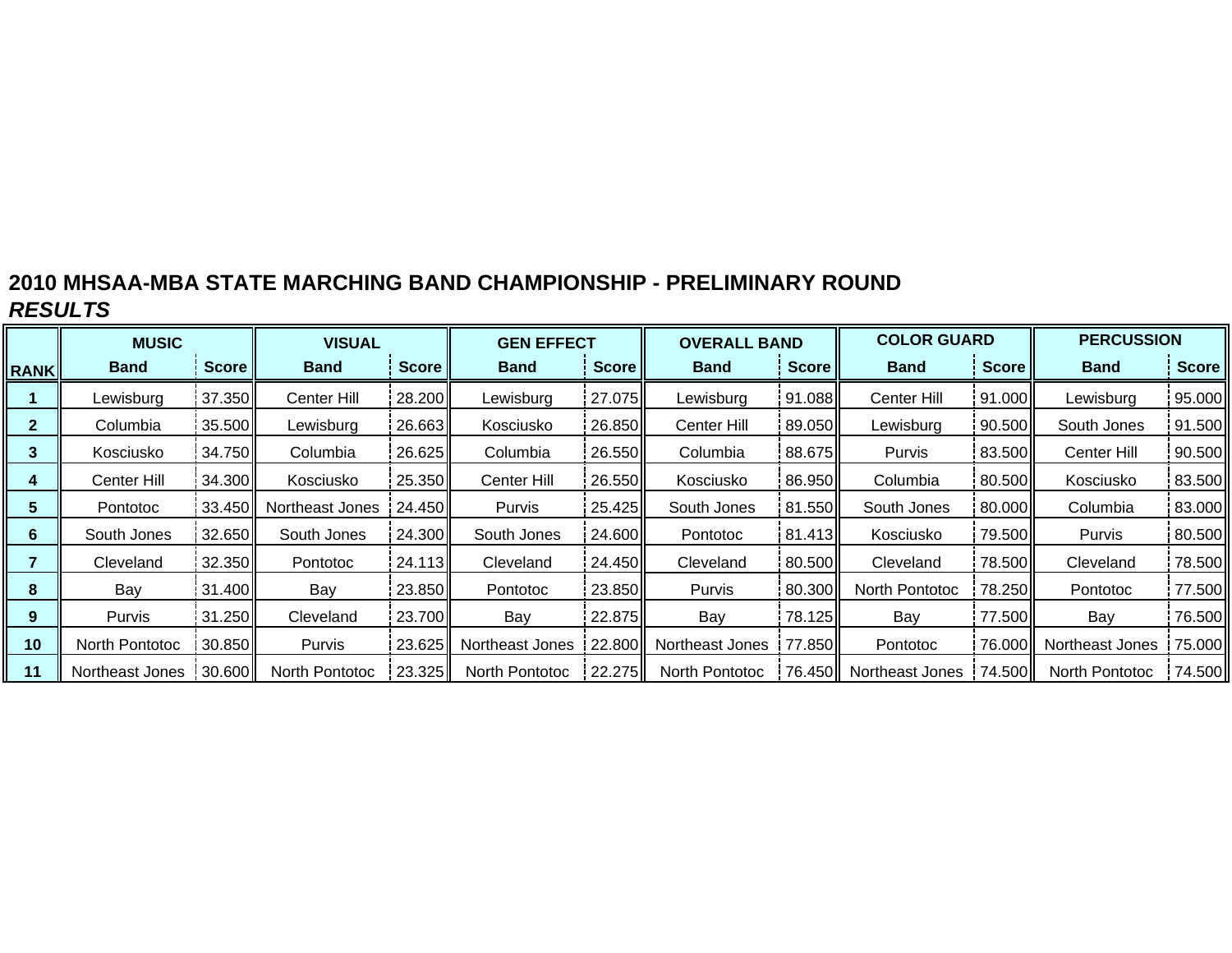|              | <b>MUSIC</b>    |              | <b>VISUAL</b>   |                 | <b>GEN EFFECT</b> |        | <b>OVERALL BAND</b>   |              | <b>COLOR GUARD</b> |                 | <b>PERCUSSION</b>      |        |
|--------------|-----------------|--------------|-----------------|-----------------|-------------------|--------|-----------------------|--------------|--------------------|-----------------|------------------------|--------|
| <b>RANK</b>  | <b>Band</b>     | <b>Score</b> | <b>Band</b>     | Score           | <b>Band</b>       | Score  | <b>Band</b>           | <b>Score</b> | <b>Band</b>        | Score           | <b>Band</b>            | Score  |
|              | Lewisburg       | 37.350       | Center Hill     | 28.200          | Lewisburg         | 27.075 | Lewisburg             | 91.088       | Center Hill        | 91.000          | Lewisburg              | 95.000 |
| $\mathbf{2}$ | Columbia        | 35.500       | Lewisburg       | 26.663          | Kosciusko         | 26.850 | Center Hill           | 89.050II     | Lewisburg          | 90.500          | South Jones            | 91.500 |
| 3            | Kosciusko       | 34.750       | Columbia        | 26.625          | Columbia          | 26.550 | Columbia              | 88.675       | <b>Purvis</b>      | 83.500          | Center Hill            | 90.500 |
| 4            | Center Hill     | 34.300       | Kosciusko       | 25.350          | Center Hill       | 26.550 | Kosciusko             | 86.950       | Columbia           | 80.500          | Kosciusko              | 83.500 |
| 5            | <b>Pontotoc</b> | 33.450       | Northeast Jones | 24.450 <b>1</b> | Purvis            | 25.425 | South Jones           | 81.550       | South Jones        | 80.000          | Columbia               | 83.000 |
| 6            | South Jones     | 32.650       | South Jones     | 24.300          | South Jones       | 24.600 | Pontotoc              | 81.413       | Kosciusko          | 79.500          | Purvis                 | 80.500 |
|              | Cleveland       | 32.350       | Pontotoc        | 24.113          | Cleveland         | 24.450 | Cleveland             | 80.500       | Cleveland          | 78.500          | Cleveland              | 78.500 |
| 8            | Bay             | 31.400       | Bay             | 23.850          | Pontotoc          | 23.850 | Purvis                | 80.300       | North Pontotoc     | 78.250          | Pontotoc               | 77.500 |
| 9            | <b>Purvis</b>   | 31.250       | Cleveland       | 23.700          | Bay               | 22.875 | Bay                   | 78.125       | Bay                | 77.500          | Bay                    | 76.500 |
| 10           | North Pontotoc  | 30.850       | Purvis          | 23.625II        | Northeast Jones   | 22.800 | Northeast Jones       | 77.850       | <b>Pontotoc</b>    |                 | 76.000 Northeast Jones | 75.000 |
| 11           | Northeast Jones | 30.600       | North Pontotoc  | 23.325          | North Pontotoc    | 22.275 | <b>North Pontotoc</b> | 76.450II     | Northeast Jones    | 74.500 <b>1</b> | <b>North Pontotoc</b>  | 74.500 |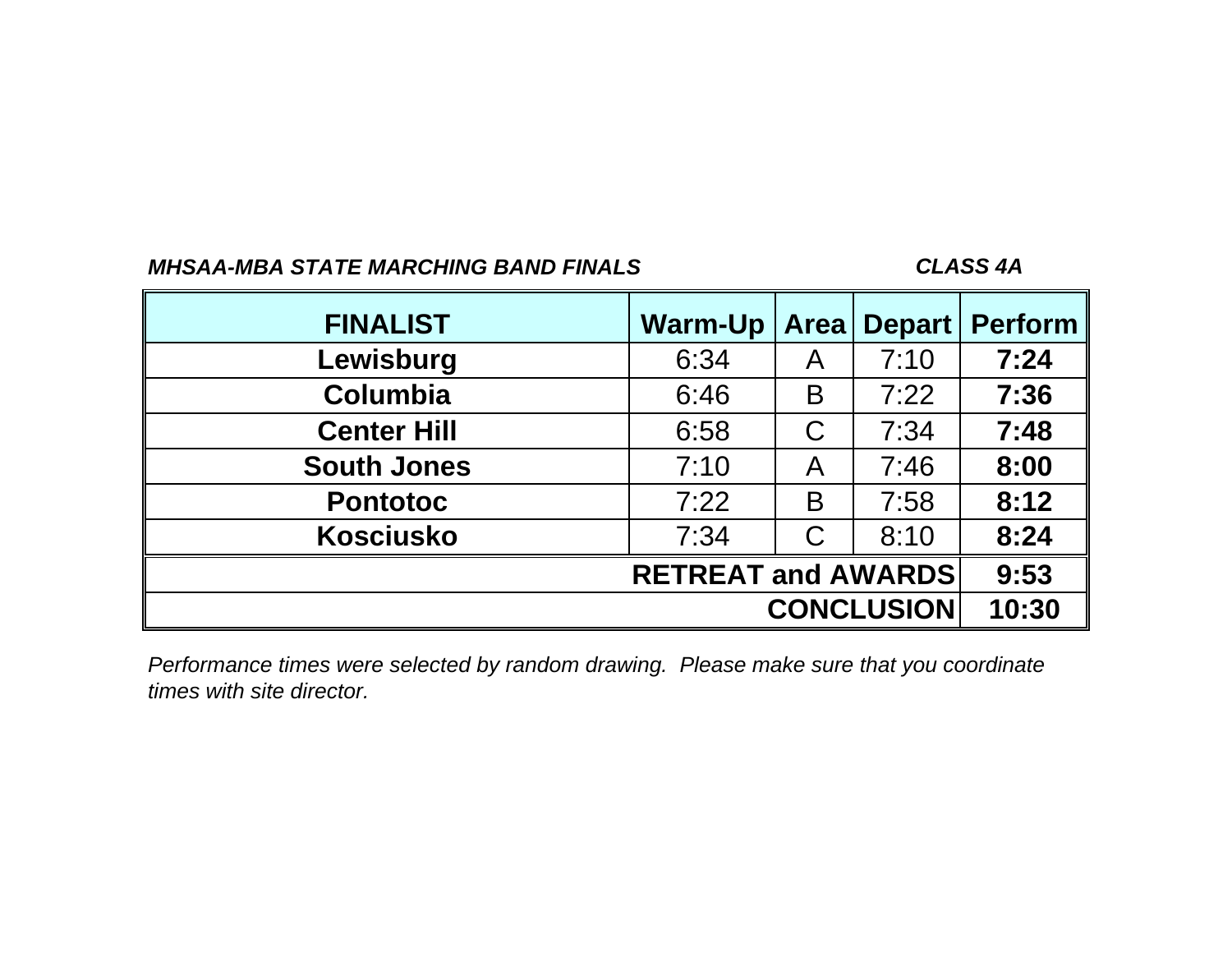## *CLASS 4A*

| <b>FINALIST</b>    | <b>Warm-Up</b>            | <b>Area</b>       | <b>Depart</b> | <b>Perform</b> |
|--------------------|---------------------------|-------------------|---------------|----------------|
| Lewisburg          | 6:34                      | A                 | 7:10          | 7:24           |
| <b>Columbia</b>    | 6:46                      | B                 | 7:22          | 7:36           |
| <b>Center Hill</b> | 6:58                      | C                 | 7:34          | 7:48           |
| <b>South Jones</b> | 7:10                      | A                 | 7:46          | 8:00           |
| <b>Pontotoc</b>    | 7:22                      | B                 | 7:58          | 8:12           |
| <b>Kosciusko</b>   | 7:34                      | C                 | 8:10          | 8:24           |
|                    | <b>RETREAT and AWARDS</b> |                   | 9:53          |                |
|                    |                           | <b>CONCLUSION</b> | 10:30         |                |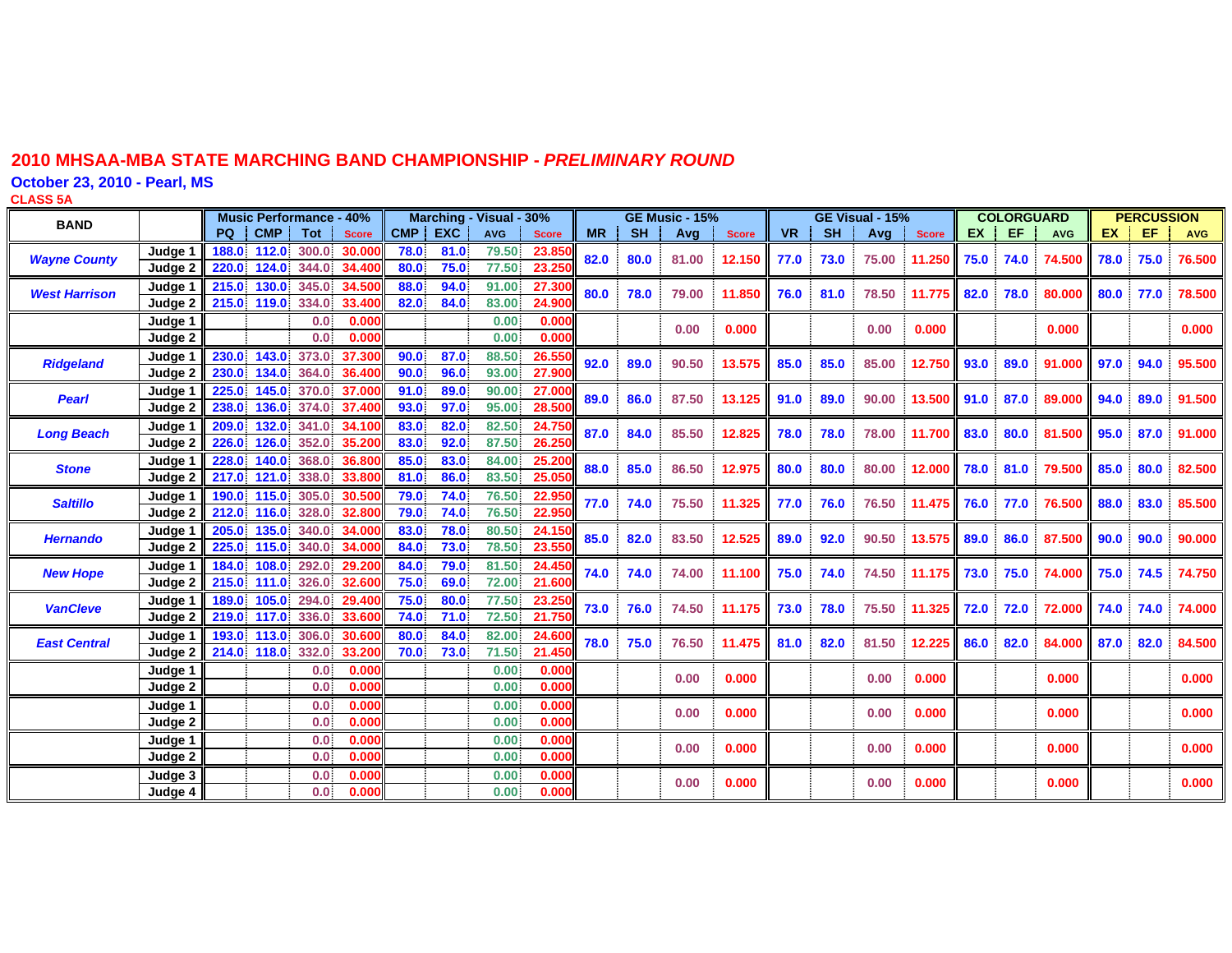**October 23, 2010 - Pearl, MS**

**CLASS 5 A**

| <b>BAND</b>          |         | <b>Music Performance - 40%</b> |            |            |              |            | Marching - Visual - 30% |            |              |           | <b>GE Music - 15%</b> |       |              |           | GE Visual - 15% |       |              | <b>COLORGUARD</b> |      |            | <b>PERCUSSION</b> |      |            |
|----------------------|---------|--------------------------------|------------|------------|--------------|------------|-------------------------|------------|--------------|-----------|-----------------------|-------|--------------|-----------|-----------------|-------|--------------|-------------------|------|------------|-------------------|------|------------|
|                      |         | PQ                             | <b>CMP</b> | <b>Tot</b> | <b>Score</b> | <b>CMP</b> | <b>EXC</b>              | <b>AVG</b> | <b>Score</b> | <b>MR</b> | <b>SH</b>             | Avg   | <b>Score</b> | <b>VR</b> | <b>SH</b>       | Avg   | <b>Score</b> | EX                | EF.  | <b>AVG</b> | EX.               | EF   | <b>AVG</b> |
| <b>Wayne County</b>  | Judge 1 | 188.0                          | 112.0      | 300.0      | 30,000       | 78.0       | 81.0                    | 79.50      | 23.85        | 82.0      | 80.0                  | 81.00 | 12.150       | 77.0      | 73.0            | 75.00 | 11.250       | 75.0              | 74.0 | 74.500     | 78.0              | 75.0 | 76.500     |
|                      | Judge 2 | 220.0                          | 124.0      | 344.0      | 34.400       | 80.0       | 75.0                    | 77.50      | 23.25        |           |                       |       |              |           |                 |       |              |                   |      |            |                   |      |            |
| <b>West Harrison</b> | Judge 1 | 215.0                          | 130.0      | 345.0      | 34.500       | 88.0       | 94.0                    | 91.00      | 27.30        | 80.0      | 78.0                  | 79.00 | 11.850       | 76.0      | 81.0            | 78.50 | 11.775       | 82.0              | 78.0 | 80,000     | 80.0              | 77.0 | 78.500     |
|                      | Judge 2 | 215.0                          | 119.0      | 334.0      | 33.400       | 82.0       | 84.0                    | 83.00      | 24.90        |           |                       |       |              |           |                 |       |              |                   |      |            |                   |      |            |
|                      | Judge 1 |                                |            | 0.0        | 0.000        |            |                         | 0.00       | 0.000        |           |                       | 0.00  | 0.000        |           |                 | 0.00  | 0.000        |                   |      | 0.000      |                   |      | 0.000      |
|                      | Judge 2 |                                |            | 0.0        | 0.000        |            |                         | 0.00       | 0.000        |           |                       |       |              |           |                 |       |              |                   |      |            |                   |      |            |
| <b>Ridgeland</b>     | Judge 1 | 230.0                          | 143.0      | 373.0      | 37,300       | 90.0       | 87.0                    | 88.50      | 26.55        | 92.0      | 89.0                  | 90.50 | 13.575       | 85.0      | 85.0            | 85.00 | 12.750       | 93.0              | 89.0 | 91.000     | 97.0              | 94.0 | 95.500     |
|                      | Judge 2 | 230.0                          | 134.0      | 364.0      | 36,400       | 90.0       | 96.0                    | 93.00      | 27,90        |           |                       |       |              |           |                 |       |              |                   |      |            |                   |      |            |
| <b>Pearl</b>         | Judge 1 | 225.0                          | 145.0      | 370.0      | 37,000       | 91.0       | 89.0                    | 90.00      | 27.00        | 89.0      | 86.0                  | 87.50 | 13.125       | 91.0      | 89.0            | 90.00 | 13.500       | 91.0              | 87.0 | 89.000     | 94.0              | 89.0 | 91.500     |
|                      | Judge 2 | 238.0                          | 136.0      | 374.0      | 37,400       | 93.0       | 97.0                    | 95.00      | 28.50        |           |                       |       |              |           |                 |       |              |                   |      |            |                   |      |            |
| <b>Long Beach</b>    | Judge 1 | 209.0                          | 132.0      | 341.0      | 34.100       | 83.0       | 82.0                    | 82.50      | 24.75        | 87.0      | 84.0                  | 85.50 | 12.825       | 78.0      | 78.0            | 78.00 | 11.700       | 83.0              | 80.0 | 81.500     | 95.0              | 87.0 | 91.000     |
|                      | Judge 2 | 226.0                          | 126.0      | 352.0      | 35,200       | 83.0       | 92.0                    | 87.50      | 26.25        |           |                       |       |              |           |                 |       |              |                   |      |            |                   |      |            |
| <b>Stone</b>         | Judge 1 | 228.0                          | 140.0      | 368.0      | 36,800       | 85.0       | 83.0                    | 84.00      | 25.20        | 88.0      | 85.0                  | 86.50 | 12.975       | 80.0      | 80.0            | 80.00 | 12.000       | 78.0              | 81.0 | 79.500     | 85.0              | 80.0 | 82.500     |
|                      | Judge 2 | 217.0                          | 121.0      | 338.0      | 33,800       | 81.0       | 86.0                    | 83.50      | 25.05        |           |                       |       |              |           |                 |       |              |                   |      |            |                   |      |            |
| <b>Saltillo</b>      | Judge 1 | 190.0                          | 115.0      | 305.0      | 30.500       | 79.0       | 74.0                    | 76.50      | 22.95        | 77.0      | 74.0                  | 75.50 | 11.325       | 77.0      | 76.0            | 76.50 | 11.475       | 76.0              | 77.0 | 76.500     | 88.0              | 83.0 | 85.500     |
|                      | Judge 2 | 212.0                          | 116.0      | 328.0      | 32,800       | 79.0       | 74.0                    | 76.50      | 22.95        |           |                       |       |              |           |                 |       |              |                   |      |            |                   |      |            |
| <b>Hernando</b>      | Judge 1 | 205.0                          | 135.0      | 340.0      | 34.000       | 83.0       | 78.0                    | 80.50      | 24.15        | 85.0      | 82.0                  | 83.50 | 12.525       | 89.0      | 92.0            | 90.50 | 13.575       | 89.0              | 86.0 | 87.500     | 90.0              | 90.0 | 90.000     |
|                      | Judge 2 | 225.0                          | 115.0      | 340.0      | 34,000       | 84.0       | 73.0                    | 78.50      | 23.55        |           |                       |       |              |           |                 |       |              |                   |      |            |                   |      |            |
| <b>New Hope</b>      | Judge 1 | 184.0                          | 108.0      | 292.0      | 29.200       | 84.0       | 79.0                    | 81.50      | 24.45        | 74.0      | 74.0                  | 74.00 | 11.100       | 75.0      | 74.0            | 74.50 | 11.175       | 73.0              | 75.0 | 74.000     | 75.0              | 74.5 | 74.750     |
|                      | Judge 2 | 215.0                          | 111.0      | 326.0      | 32.600       | 75.0       | 69.0                    | 72.00      | 21.60        |           |                       |       |              |           |                 |       |              |                   |      |            |                   |      |            |
| <b>VanCleve</b>      | Judge 1 | 189.0                          | 105.0      | 294.0      | 29,400       | 75.0       | 80.0                    | 77.50      | 23.25        | 73.0      | 76.0                  | 74.50 | 11.175       | 73.0      | 78.0            | 75.50 | 11.325       | 72.0              | 72.0 | 72.000     | 74.0              | 74.0 | 74.000     |
|                      | Judge 2 | 219.0                          | 117.0      | 336.0      | 33.600       | 74.0       | 71.0                    | 72.50      | 21.75        |           |                       |       |              |           |                 |       |              |                   |      |            |                   |      |            |
| <b>East Central</b>  | Judge 1 | 193.0                          | 113.0      | 306.0      | 30,600       | 80.0       | 84.0                    | 82.00      | 24.60        | 78.0      | 75.0                  | 76.50 | 11.475       | 81.0      | 82.0            | 81.50 | 12.225       | 86.0              | 82.0 | 84.000     | 87.0              | 82.0 | 84.500     |
|                      | Judge 2 | 214.0                          | 118.0      | 332.0      | 33,200       | 70.0       | 73.0                    | 71.50      | 21.45        |           |                       |       |              |           |                 |       |              |                   |      |            |                   |      |            |
|                      | Judge 1 |                                |            | 0.0        | 0.000        |            |                         | 0.00       | 0.000        |           |                       | 0.00  | 0.000        |           |                 | 0.00  | 0.000        |                   |      | 0.000      |                   |      | 0.000      |
|                      | Judge 2 |                                |            | 0.0        | 0.000        |            |                         | 0.00       | 0.000        |           |                       |       |              |           |                 |       |              |                   |      |            |                   |      |            |
|                      | Judge 1 |                                |            | 0.0        | 0.000        |            |                         | 0.00       | 0.000        |           |                       | 0.00  | 0.000        |           |                 | 0.00  | 0.000        |                   |      | 0.000      |                   |      | 0.000      |
|                      | Judge 2 |                                |            | 0.0        | 0.000        |            |                         | 0.00       | 0.000        |           |                       |       |              |           |                 |       |              |                   |      |            |                   |      |            |
|                      | Judge 1 |                                |            | 0.0        | 0.000        |            |                         | 0.00       | 0.000        |           |                       | 0.00  | 0.000        |           |                 | 0.00  | 0.000        |                   |      | 0.000      |                   |      | 0.000      |
|                      | Judge 2 |                                |            | 0.0        | 0.000        |            |                         | 0.00       | 0.000        |           |                       |       |              |           |                 |       |              |                   |      |            |                   |      |            |
|                      | Judge 3 |                                |            | 0.0        | 0.000        |            |                         | 0.00       | 0.000        |           |                       | 0.00  | 0.000        |           |                 | 0.00  | 0.000        |                   |      | 0.000      |                   |      | 0.000      |
|                      | Judge 4 |                                |            | 0.0        | 0.000        |            |                         | 0.00.      | 0.000        |           |                       |       |              |           |                 |       |              |                   |      |            |                   |      |            |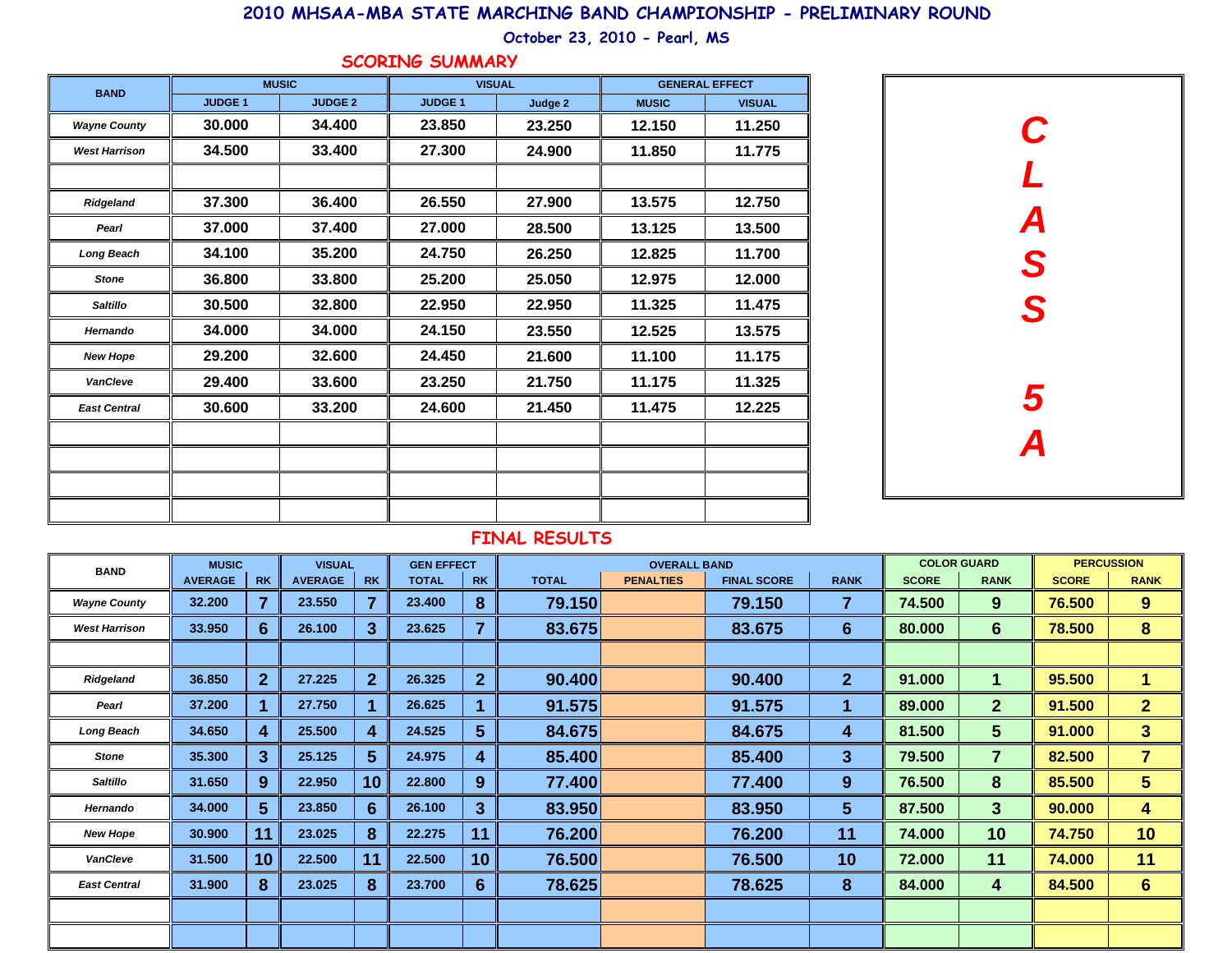**October 23, 2010 - Pearl, MS**

#### **SCORING SUMMARY**

| <b>BAND</b>          |               | <b>MUSIC</b>   | <b>VISUAL</b>  |         |              | <b>GENERAL EFFECT</b> |
|----------------------|---------------|----------------|----------------|---------|--------------|-----------------------|
|                      | <b>JUDGE1</b> | <b>JUDGE 2</b> | <b>JUDGE 1</b> | Judge 2 | <b>MUSIC</b> | <b>VISUAL</b>         |
| <b>Wayne County</b>  | 30,000        | 34.400         | 23,850         | 23.250  | 12.150       | 11.250                |
| <b>West Harrison</b> | 34.500        | 33.400         | 27.300         | 24.900  | 11.850       | 11.775                |
|                      |               |                |                |         |              |                       |
| Ridgeland            | 37.300        | 36.400         | 26.550         | 27.900  | 13.575       | 12.750                |
| Pearl                | 37.000        | 37.400         | 27.000         | 28.500  | 13.125       | 13.500                |
| <b>Long Beach</b>    | 34.100        | 35.200         | 24.750         | 26.250  | 12.825       | 11.700                |
| <b>Stone</b>         | 36.800        | 33.800         | 25.200         | 25.050  | 12.975       | 12.000                |
| <b>Saltillo</b>      | 30.500        | 32.800         | 22,950         | 22.950  | 11.325       | 11.475                |
| Hernando             | 34.000        | 34.000         | 24.150         | 23.550  | 12.525       | 13.575                |
| <b>New Hope</b>      | 29.200        | 32.600         | 24.450         | 21.600  | 11.100       | 11.175                |
| <b>VanCleve</b>      | 29.400        | 33.600         | 23.250         | 21.750  | 11.175       | 11.325                |
| <b>East Central</b>  | 30.600        | 33.200         | 24.600         | 21.450  | 11.475       | 12.225                |
|                      |               |                |                |         |              |                       |
|                      |               |                |                |         |              |                       |
|                      |               |                |                |         |              |                       |
|                      |               |                |                |         |              |                       |



| <b>BAND</b>          | <b>MUSIC</b>   |                  | <b>VISUAL</b>  |                 | <b>GEN EFFECT</b> |                |              | <b>OVERALL BAND</b> |                    |                 |              | <b>COLOR GUARD</b> |              | <b>PERCUSSION</b>    |
|----------------------|----------------|------------------|----------------|-----------------|-------------------|----------------|--------------|---------------------|--------------------|-----------------|--------------|--------------------|--------------|----------------------|
|                      | <b>AVERAGE</b> | <b>RK</b>        | <b>AVERAGE</b> | <b>RK</b>       | <b>TOTAL</b>      | <b>RK</b>      | <b>TOTAL</b> | <b>PENALTIES</b>    | <b>FINAL SCORE</b> | <b>RANK</b>     | <b>SCORE</b> | <b>RANK</b>        | <b>SCORE</b> | <b>RANK</b>          |
| <b>Wayne County</b>  | 32.200         | $\overline{7}$   | 23.550         | 7               | 23.400            | 8              | 79.150       |                     | 79.150             | 7               | 74.500       | 9                  | 76.500       | 9                    |
| <b>West Harrison</b> | 33.950         | $6 \overline{6}$ | 26.100         | $3\phantom{a}$  | 23.625            | $\overline{7}$ | 83.675       |                     | 83.675             | $6\phantom{1}$  | 80.000       | 6                  | 78.500       | 8                    |
|                      |                |                  |                |                 |                   |                |              |                     |                    |                 |              |                    |              |                      |
| Ridgeland            | 36.850         | 2 <sup>1</sup>   | 27.225         | $\overline{2}$  | 26.325            | $\overline{2}$ | 90.400       |                     | 90.400             | 2 <sup>1</sup>  | 91.000       |                    | 95.500       | $\blacktriangleleft$ |
| Pearl                | 37.200         |                  | 27.750         |                 | 26.625            |                | 91.575       |                     | 91.575             | 1               | 89.000       | $\mathbf{2}$       | 91.500       | $\overline{2}$       |
| <b>Long Beach</b>    | 34.650         | 4                | 25.500         | 4               | 24.525            | $5\phantom{1}$ | 84.675       |                     | 84.675             | 4               | 81.500       | 5 <sup>5</sup>     | 91.000       | $3\phantom{a}$       |
| <b>Stone</b>         | 35.300         | $\overline{3}$   | 25.125         | $5\phantom{.0}$ | 24.975            | 4              | 85.400       |                     | 85.400             | 3 <sup>1</sup>  | 79.500       | $\overline{7}$     | 82.500       | $\overline{7}$       |
| <b>Saltillo</b>      | 31.650         | 9                | 22.950         | 10              | 22.800            | 9              | 77.400       |                     | 77.400             | 9               | 76.500       | 8                  | 85.500       | 5 <sup>5</sup>       |
| Hernando             | 34.000         | 5 <sup>5</sup>   | 23.850         | 6               | 26.100            | $\mathbf{3}$   | 83.950       |                     | 83.950             | $5\phantom{.0}$ | 87.500       | 3 <sup>5</sup>     | 90.000       | 4                    |
| <b>New Hope</b>      | 30.900         | 11               | 23.025         | 8               | 22.275            | 11             | 76.200       |                     | 76.200             | 11              | 74.000       | 10                 | 74.750       | 10                   |
| <b>VanCleve</b>      | 31.500         | 10 <sup>°</sup>  | 22.500         | 11              | 22.500            | 10             | 76.500       |                     | 76.500             | 10              | 72.000       | 11                 | 74.000       | 11                   |
| <b>East Central</b>  | 31.900         | 8                | 23.025         | 8               | 23.700            | 6              | 78.625       |                     | 78.625             | 8               | 84.000       | 4                  | 84.500       | 6                    |
|                      |                |                  |                |                 |                   |                |              |                     |                    |                 |              |                    |              |                      |
|                      |                |                  |                |                 |                   |                |              |                     |                    |                 |              |                    |              |                      |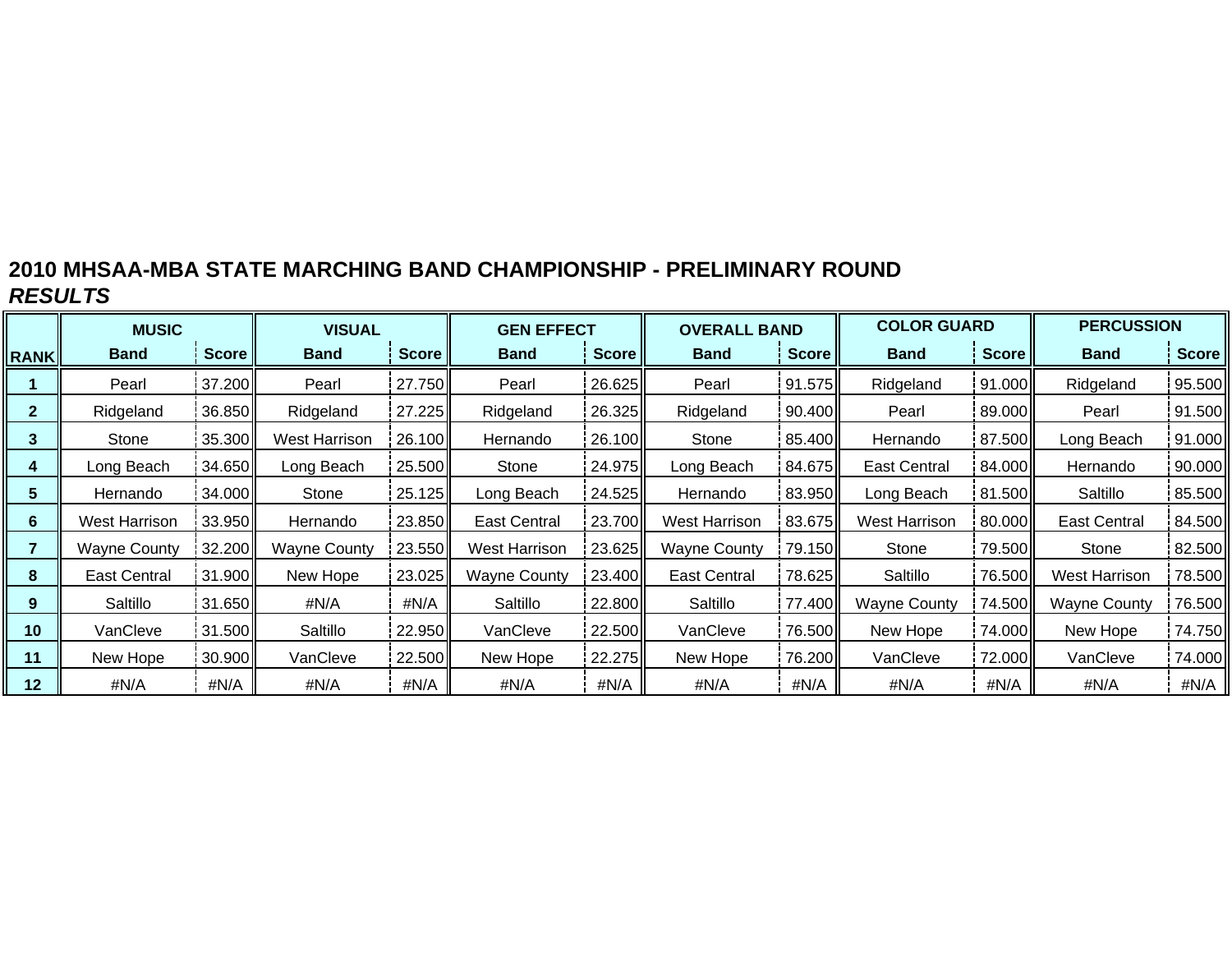|              | <b>MUSIC</b>         |              | <b>VISUAL</b>       |              | <b>GEN EFFECT</b>   |        | <b>OVERALL BAND</b> |              | <b>COLOR GUARD</b>   |        | <b>PERCUSSION</b>    |              |
|--------------|----------------------|--------------|---------------------|--------------|---------------------|--------|---------------------|--------------|----------------------|--------|----------------------|--------------|
| <b>RANK</b>  | <b>Band</b>          | <b>Score</b> | <b>Band</b>         | <b>Score</b> | Band                | Score  | <b>Band</b>         | <b>Score</b> | <b>Band</b>          | Score  | <b>Band</b>          | <b>Score</b> |
|              | Pearl                | 37.200       | Pearl               | 27.750       | Pearl               | 26.625 | Pearl               | 91.575       | Ridgeland            | 91.000 | Ridgeland            | 95.500       |
| $\mathbf{2}$ | Ridgeland            | 36.850       | Ridgeland           | 27.225       | Ridgeland           | 26.325 | Ridgeland           | 90.400       | Pearl                | 89.000 | Pearl                | 91.500       |
| 3            | Stone                | 35.300       | West Harrison       | 26.100       | Hernando            | 26.100 | Stone               | 85.400       | Hernando             | 87.500 | Long Beach           | 91.000       |
| 4            | Long Beach           | 34.650       | Long Beach          | 25.500       | Stone               | 24.975 | Long Beach          | 84.675       | <b>East Central</b>  | 84.000 | Hernando             | 90.000       |
| 5            | Hernando             | 34.000       | Stone               | 25.125       | Long Beach          | 24.525 | Hernando            | 83.950       | Long Beach           | 81.500 | Saltillo             | 85.500       |
| 6            | <b>West Harrison</b> | 33.950       | Hernando            | 23.850       | <b>East Central</b> | 23.700 | West Harrison       | 83.675       | <b>West Harrison</b> | 80.000 | <b>East Central</b>  | 84.500       |
|              | <b>Wayne County</b>  | 32.200       | <b>Wayne County</b> | 23.550       | West Harrison       | 23.625 | <b>Wayne County</b> | 79.150       | Stone                | 79.500 | Stone                | 82.500       |
| 8            | <b>East Central</b>  | 31.900       | New Hope            | 23.025       | <b>Wayne County</b> | 23.400 | <b>East Central</b> | 78.625       | Saltillo             | 76.500 | <b>West Harrison</b> | 78.500       |
| 9            | Saltillo             | 31.650       | #N/A                | #N/A         | Saltillo            | 22.800 | Saltillo            | 77.400       | <b>Wayne County</b>  | 74.500 | <b>Wayne County</b>  | 76.500       |
| 10           | VanCleve             | 31.500       | Saltillo            | 22.950       | VanCleve            | 22.500 | VanCleve            | 76.500       | New Hope             | 74.000 | New Hope             | 74.750       |
| 11           | New Hope             | 30.900       | VanCleve            | 22.500       | New Hope            | 22.275 | New Hope            | 76.200       | VanCleve             | 72.000 | VanCleve             | 74.000       |
| 12           | #N/A                 | #N/A         | #N/A                | #N/A         | #N/A                | #N/A   | #N/A                | #N/A         | #N/A                 | #N/A   | #N/A                 | #N/A         |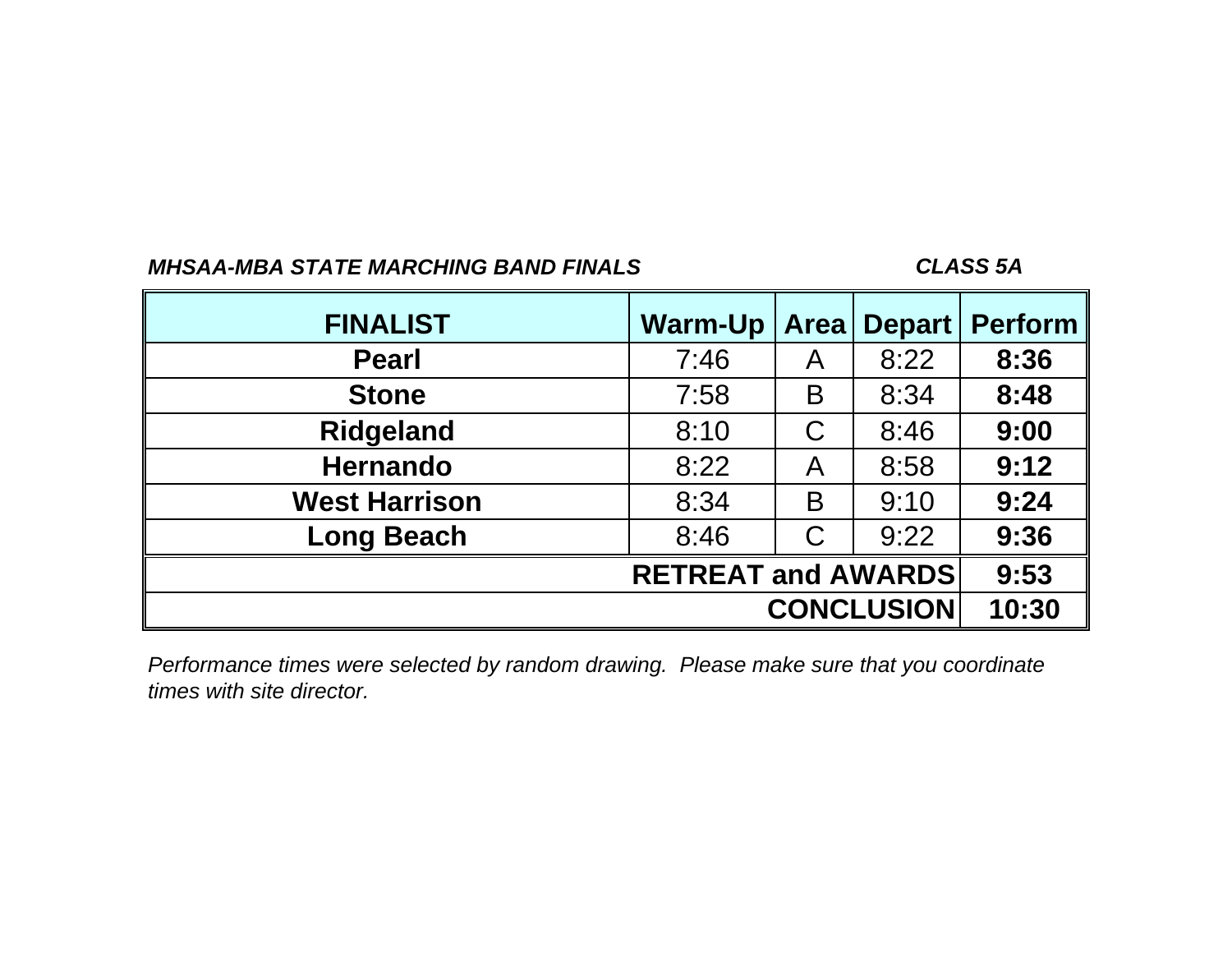## *CLASS 5A*

| <b>FINALIST</b>           | <b>Warm-Up</b> | <b>Area</b> | <b>Depart</b>     | <b>Perform</b> |  |  |  |  |  |
|---------------------------|----------------|-------------|-------------------|----------------|--|--|--|--|--|
| <b>Pearl</b>              | 7:46           | A           | 8:22              | 8:36           |  |  |  |  |  |
| <b>Stone</b>              | 7:58           | B           | 8:34              | 8:48           |  |  |  |  |  |
| <b>Ridgeland</b>          | 8:10           | C           | 8:46              | 9:00           |  |  |  |  |  |
| <b>Hernando</b>           | 8:22           | A           | 8:58              | 9:12           |  |  |  |  |  |
| <b>West Harrison</b>      | 8:34           | B           | 9:10              | 9:24           |  |  |  |  |  |
| <b>Long Beach</b>         | 8:46           | С           | 9:22              | 9:36           |  |  |  |  |  |
| <b>RETREAT and AWARDS</b> |                |             |                   |                |  |  |  |  |  |
|                           |                |             | <b>CONCLUSION</b> | 10:30          |  |  |  |  |  |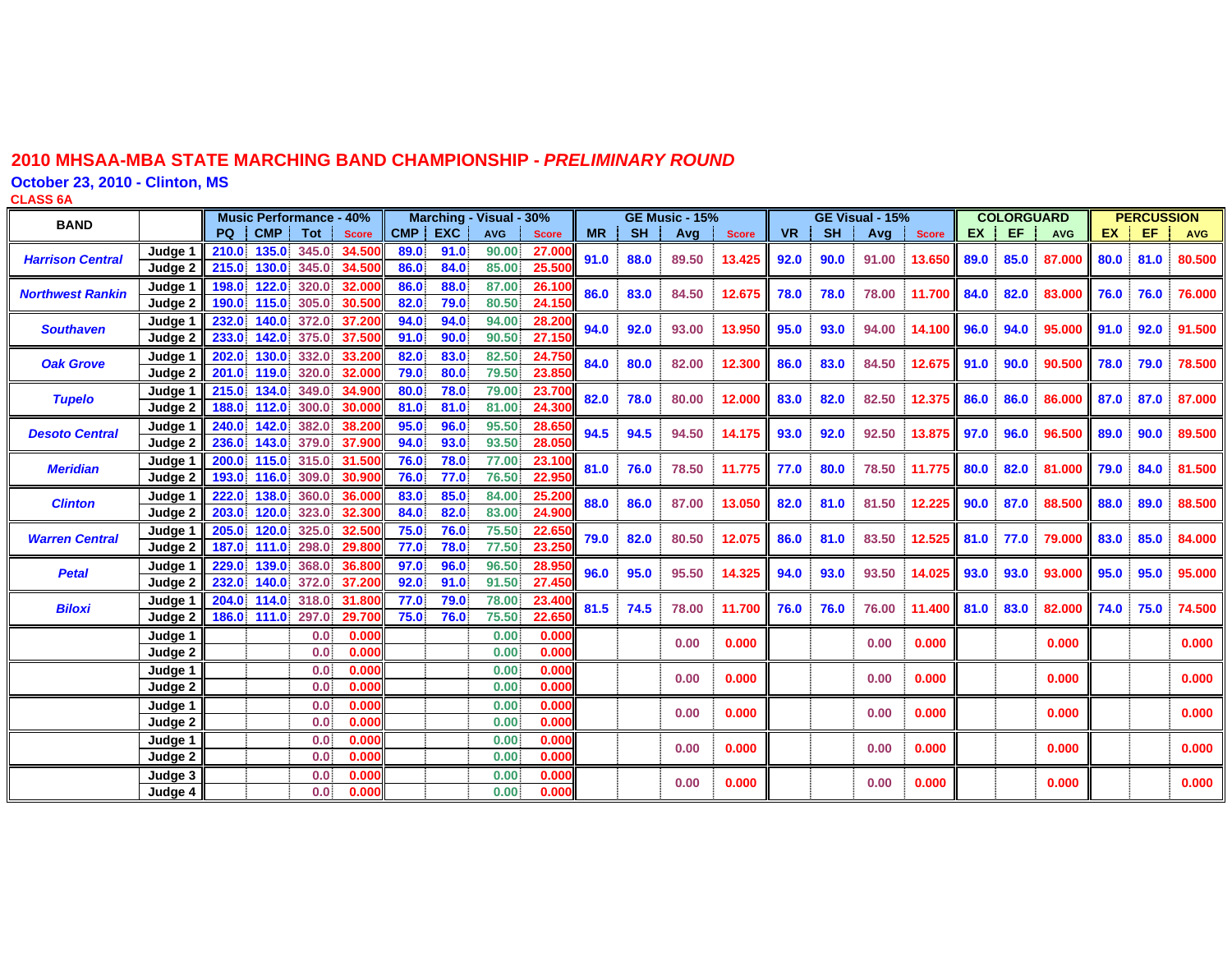**October 23, 2010 - Clinton, MS**

**CLASS 6 A**

| <b>BAND</b>             |                    |                |                | <b>Music Performance - 40%</b> |                  |              | <b>Marching</b> | - Visual - 30% |                |           |           | <b>GE Music - 15%</b> |              |           |           | GE Visual - 15% |              |           | <b>COLORGUARD</b> |            |           | <b>PERCUSSION</b> |            |
|-------------------------|--------------------|----------------|----------------|--------------------------------|------------------|--------------|-----------------|----------------|----------------|-----------|-----------|-----------------------|--------------|-----------|-----------|-----------------|--------------|-----------|-------------------|------------|-----------|-------------------|------------|
|                         |                    | PQ.            | <b>CMP</b>     | <b>Tot</b>                     | <b>Score</b>     | <b>CMP</b>   | <b>EXC</b>      | <b>AVG</b>     | <b>Score</b>   | <b>MR</b> | <b>SH</b> | Avg                   | <b>Score</b> | <b>VR</b> | <b>SH</b> | Avg             | <b>Score</b> | <b>EX</b> | EF                | <b>AVG</b> | <b>EX</b> | EF                | <b>AVG</b> |
| <b>Harrison Central</b> | Judge <sup>*</sup> | 210.0<br>215.0 | 135.0<br>130.0 | 345.0<br>345.0                 | 34,500<br>34.500 | 89.0<br>86.0 | 91.0<br>84.0    | 90.00<br>85.00 | 27.00<br>25.50 | 91.0      | 88.0      | 89.50                 | 13.425       | 92.0      | 90.0      | 91.00           | 13.650       | 89.0      | 85.0              | 87,000     | 80.0      | 81.0              | 80.500     |
|                         | Judge 2            |                |                |                                |                  |              |                 |                |                |           |           |                       |              |           |           |                 |              |           |                   |            |           |                   |            |
| <b>Northwest Rankin</b> | Judge 1<br>Judge 2 | 198.0<br>190.0 | 122.0<br>115.0 | 320.0<br>305.0                 | 32,000<br>30.500 | 86.0<br>82.0 | 88.0<br>79.0    | 87.00<br>80.50 | 26.10<br>24.15 | 86.0      | 83.0      | 84.50                 | 12.675       | 78.0      | 78.0      | 78.00           | 11.700       | 84.0      | 82.0              | 83.000     | 76.0      | 76.0              | 76.000     |
| <b>Southaven</b>        | Judge 1<br>Judge 2 | 232.0<br>233.0 | 140.0<br>142.0 | 372.0<br>375.0                 | 37,200<br>37,500 | 94.0<br>91.0 | 94.0<br>90.0    | 94.00<br>90.50 | 28.20<br>27.15 | 94.0      | 92.0      | 93.00                 | 13.950       | 95.0      | 93.0      | 94.00           | 14.100 96.0  |           | 94.0              | 95.000     | 91.0      | 92.0              | 91.500     |
|                         |                    | 202.0          | 130.0          | 332.0                          | 33.200           | 82.0         | 83.0            |                | 24.750         |           |           |                       |              |           |           |                 |              |           |                   |            |           |                   |            |
| <b>Oak Grove</b>        | Judge 1<br>Judge 2 |                |                | 201.0 119.0 320.0              | 32,000           | 79.0         | 80.0            | 82.50<br>79.50 | 23.85          | 84.0      | 80.0      | 82.00                 | 12.300       | 86.0      | 83.0      | 84.50           | 12.675 91.0  |           | 90.0              | 90.500     | 78.0      | 79.0              | 78.500     |
| <b>Tupelo</b>           | Judge 1<br>Judge 2 | 215.0<br>188.0 | 134.0<br>112.0 | 349.0<br>300.0                 | 34.900<br>30.000 | 80.0<br>81.0 | 78.0<br>81.0    | 79.00<br>81.00 | 23.70<br>24.30 | 82.0      | 78.0      | 80.00                 | 12.000       | 83.0      | 82.0      | 82.50           | 12.375 86.0  |           | 86.0              | 86,000     | 87.0      | 87.0              | 87.000     |
|                         |                    |                |                | 382.0                          |                  |              |                 |                |                |           |           |                       |              |           |           |                 |              |           |                   |            |           |                   |            |
| <b>Desoto Central</b>   | Judge 1<br>Judge 2 | 240.0<br>236.0 | 142.0<br>143.0 | 379.0                          | 38.20<br>37.900  | 95.0<br>94.0 | 96.0<br>93.0    | 95.50<br>93.50 | 28.65<br>28.05 | 94.5      | 94.5      | 94.50                 | 14.175       | 93.0      | 92.0      | 92.50           | 13.875 97.0  |           | 96.0              | 96.500     | 89.0      | 90.0              | 89.500     |
| <b>Meridian</b>         | Judge 1            | 200.0          | 115.0          | 315.0                          | 31,500           | 76.0         | 78.0            | 77.00          | 23.10          | 81.0      | 76.0      | 78.50                 | 11.775       | 77.0      | 80.0      | 78.50           | 11.775 80.0  |           | 82.0              | 81.000     | 79.0      | 84.0              | 81.500     |
|                         | Judge 2            | 193.0          | 116.0          | 309.0                          | 30.900           | 76.0         | 77.0            | 76.50          | 22.95          |           |           |                       |              |           |           |                 |              |           |                   |            |           |                   |            |
| <b>Clinton</b>          | Judge 1<br>Judge 2 | 222.0<br>203.0 | 138.0<br>120.0 | 360.0<br>323.0                 | 36.000<br>32.300 | 83.0<br>84.0 | 85.0<br>82.0    | 84.00<br>83.00 | 25.20<br>24.90 | 88.0      | 86.0      | 87.00                 | 13.050       | 82.0      | 81.0      | 81.50           | 12.225 90.0  |           | 87.0              | 88.500     | 88.0      | 89.0              | 88.500     |
| <b>Warren Central</b>   | Judge 1            | 205.0          | 120.0          | 325.0                          | 32,500           | 75.0         | 76.0            | 75.50          | 22.65          | 79.0      | 82.0      | 80.50                 | 12.075       | 86.0      | 81.0      | 83.50           | 12.525 81.0  |           | 77.0              | 79.000     | 83.0      | 85.0              | 84.000     |
|                         | Judge 2            | 187.0          | 111.0          | 298.0                          | 29.800           | 77.0         | 78.0            | 77.50          | 23.25          |           |           |                       |              |           |           |                 |              |           |                   |            |           |                   |            |
| <b>Petal</b>            | Judge 1<br>Judge 2 | 229.0<br>232.0 | 139.0<br>140.0 | 368.0<br>372.0                 | 36,800<br>37.200 | 97.0<br>92.0 | 96.0<br>91.0    | 96.50<br>91.50 | 28.95<br>27.45 | 96.0      | 95.0      | 95.50                 | 14.325       | 94.0      | 93.0      | 93.50           | 14.025 93.0  |           | 93.0              | 93.000     | 95.0      | 95.0              | 95.000     |
| <b>Biloxi</b>           | Judge 1            | 204.0          | 114.0          | 318.0                          | 31.800           | 77.0         | 79.0            | 78.00          | 23.40          | 81.5      | 74.5      | 78.00                 | 11.700       | 76.0      | 76.0      | 76.00           | 11.400       | 81.0      | 83.0              | 82.000     | 74.0      | 75.0              | 74.500     |
|                         | Judge 2            |                | 186.0 111.0    | 297.0                          | 29.700           | 75.0         | 76.0            | 75.50          | 22.65          |           |           |                       |              |           |           |                 |              |           |                   |            |           |                   |            |
|                         | Judge 1<br>Judge 2 |                |                | 0.0<br>0.0                     | 0.000<br>0.000   |              |                 | 0.00<br>0.00   | 0.000<br>0.000 |           |           | 0.00                  | 0.000        |           |           | 0.00            | 0.000        |           |                   | 0.000      |           |                   | 0.000      |
|                         | Judge 1            |                |                | 0.0                            | 0.000            |              |                 | 0.00           | 0.00           |           |           |                       |              |           |           |                 |              |           |                   |            |           |                   |            |
|                         | Judge 2            |                |                | 0.0                            | 0.000            |              |                 | 0.00           | 0.000          |           |           | 0.00                  | 0.000        |           |           | 0.00            | 0.000        |           |                   | 0.000      |           |                   | 0.000      |
|                         | Judge 1            |                |                | 0.0                            | 0.000            |              |                 | 0.00           | 0.000          |           |           | 0.00                  | 0.000        |           |           | 0.00            | 0.000        |           |                   | 0.000      |           |                   | 0.000      |
|                         | Judge 2            |                |                | 0.0                            | 0.000            |              |                 | 0.00           | 0.00(          |           |           |                       |              |           |           |                 |              |           |                   |            |           |                   |            |
|                         | Judge 1            |                |                | 0.0                            | 0.000            |              |                 | 0.00           | 0.000          |           |           | 0.00                  | 0.000        |           |           | 0.00            | 0.000        |           |                   | 0.000      |           |                   | 0.000      |
|                         | Judge 2            |                |                | 0.0                            | 0.000            |              |                 | 0.00           | 0.000          |           |           |                       |              |           |           |                 |              |           |                   |            |           |                   |            |
|                         | Judge 3<br>Judge 4 |                |                | 0.0<br>0.0                     | 0.000<br>0.000   |              |                 | 0.00<br>0.00   | 0.000<br>0.000 |           |           | 0.00                  | 0.000        |           |           | 0.00            | 0.000        |           |                   | 0.000      |           |                   | 0.000      |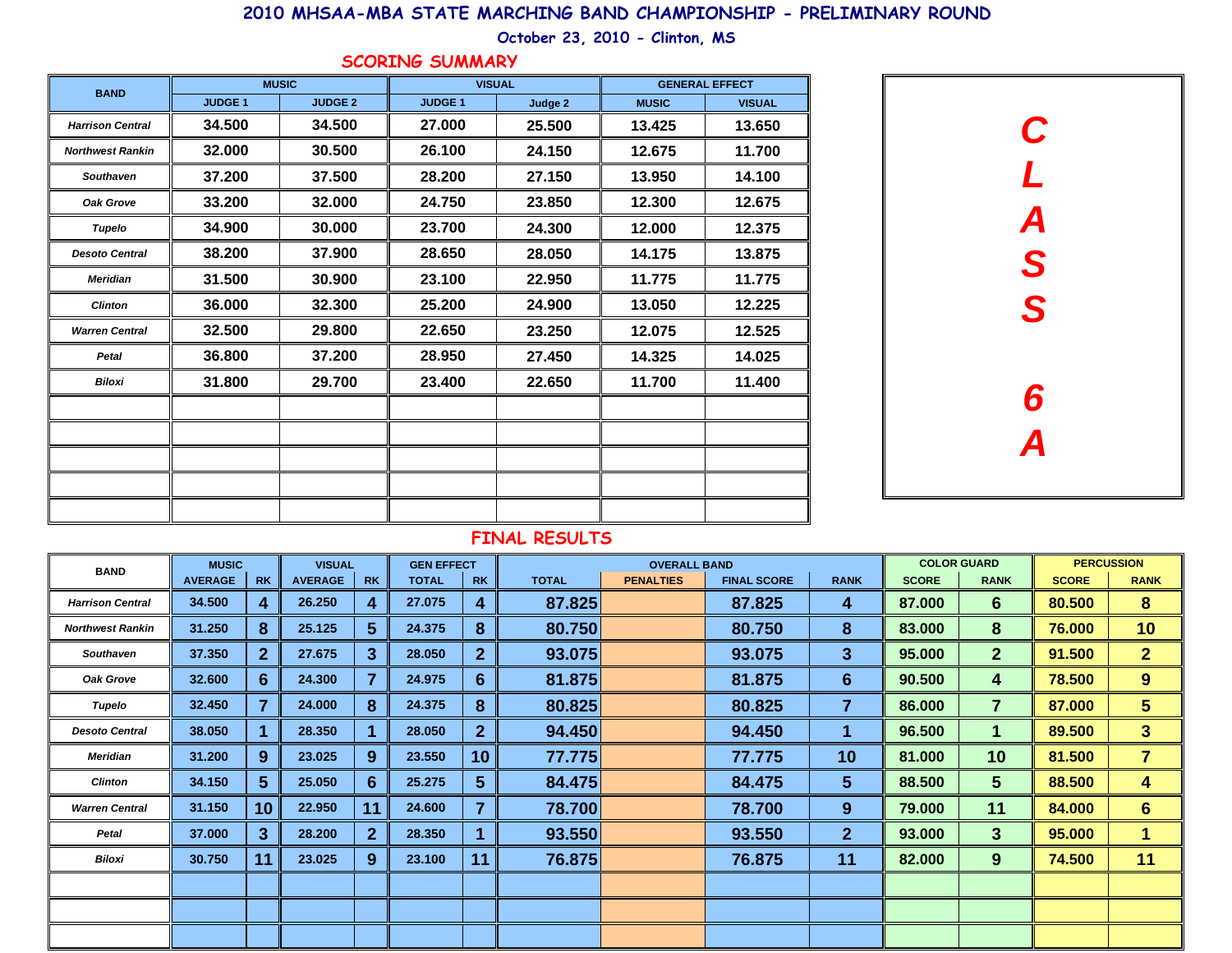**October 23, 2010 - Clinton, MS**

#### **SCORING SUMMARY**

| <b>BAND</b>             |               | <b>MUSIC</b>   | <b>VISUAL</b> |         | <b>GENERAL EFFECT</b> |               |  |  |
|-------------------------|---------------|----------------|---------------|---------|-----------------------|---------------|--|--|
|                         | <b>JUDGE1</b> | <b>JUDGE 2</b> | <b>JUDGE1</b> | Judge 2 | <b>MUSIC</b>          | <b>VISUAL</b> |  |  |
| <b>Harrison Central</b> | 34.500        | 34.500         | 27,000        | 25.500  | 13.425                | 13.650        |  |  |
| <b>Northwest Rankin</b> | 32.000        | 30.500         | 26.100        | 24.150  | 12.675                | 11.700        |  |  |
| <b>Southaven</b>        | 37.200        | 37.500         | 28.200        | 27.150  | 13.950                | 14.100        |  |  |
| Oak Grove               | 33.200        | 32.000         | 24.750        | 23.850  | 12.300                | 12.675        |  |  |
| Tupelo                  | 34.900        | 30.000         | 23.700        | 24.300  | 12.000                | 12.375        |  |  |
| <b>Desoto Central</b>   | 38.200        | 37.900         | 28.650        | 28.050  | 14.175                | 13.875        |  |  |
| <b>Meridian</b>         | 31.500        | 30.900         | 23.100        | 22.950  | 11.775                | 11.775        |  |  |
| <b>Clinton</b>          | 36.000        | 32.300         | 25.200        | 24.900  | 13.050                | 12.225        |  |  |
| <b>Warren Central</b>   | 32.500        | 29.800         | 22.650        | 23.250  | 12.075                | 12.525        |  |  |
| <b>Petal</b>            | 36.800        | 37.200         | 28.950        | 27.450  | 14.325                | 14.025        |  |  |
| <b>Biloxi</b>           | 31.800        | 29.700         | 23.400        | 22.650  | 11.700                | 11.400        |  |  |
|                         |               |                |               |         |                       |               |  |  |
|                         |               |                |               |         |                       |               |  |  |
|                         |               |                |               |         |                       |               |  |  |
|                         |               |                |               |         |                       |               |  |  |
|                         |               |                |               |         |                       |               |  |  |

| C<br>L<br>A<br>S<br>S        |  |
|------------------------------|--|
| 6<br>$\overline{\mathsf{A}}$ |  |

| <b>BAND</b>             | <b>MUSIC</b>   |                  | <b>VISUAL</b>  |              | <b>GEN EFFECT</b> |                 | <b>OVERALL BAND</b> |                  |                    |                  | <b>COLOR GUARD</b> |                      | <b>PERCUSSION</b> |                |
|-------------------------|----------------|------------------|----------------|--------------|-------------------|-----------------|---------------------|------------------|--------------------|------------------|--------------------|----------------------|-------------------|----------------|
|                         | <b>AVERAGE</b> | <b>RK</b>        | <b>AVERAGE</b> | <b>RK</b>    | <b>TOTAL</b>      | <b>RK</b>       | <b>TOTAL</b>        | <b>PENALTIES</b> | <b>FINAL SCORE</b> | <b>RANK</b>      | <b>SCORE</b>       | <b>RANK</b>          | <b>SCORE</b>      | <b>RANK</b>    |
| <b>Harrison Central</b> | 34.500         | 4                | 26.250         | 4            | 27.075            | 4               | 87.825              |                  | 87.825             | 4                | 87.000             | $6\phantom{1}$       | 80.500            | 8              |
| <b>Northwest Rankin</b> | 31.250         | 8                | 25.125         | 5            | 24.375            | 8               | 80.750              |                  | 80.750             | 8                | 83.000             | 8                    | 76.000            | 10             |
| <b>Southaven</b>        | 37.350         | $\mathbf{2}$     | 27.675         | 3            | 28.050            | $\overline{2}$  | 93.075              |                  | 93.075             | 3                | 95.000             | $\mathbf{2}$         | 91.500            | 2 <sub>2</sub> |
| Oak Grove               | 32.600         | $6 \overline{6}$ | 24.300         | 7            | 24.975            | 6               | 81.875              |                  | 81.875             | $6\phantom{1}$   | 90.500             | 4                    | 78.500            | 9              |
| Tupelo                  | 32.450         | 7                | 24.000         | 8            | 24.375            | 8               | 80.825              |                  | 80.825             | 7                | 86.000             | $\overline{7}$       | 87,000            | 5 <sup>5</sup> |
| <b>Desoto Central</b>   | 38.050         | 1                | 28.350         |              | 28.050            | $\overline{2}$  | 94.450              |                  | 94.450             | 1                | 96.500             | $\blacktriangleleft$ | 89.500            | 3 <sup>5</sup> |
| <b>Meridian</b>         | 31.200         | 9                | 23.025         | 9            | 23.550            | 10 <sup>1</sup> | 77.775              |                  | 77.775             | 10 <sup>°</sup>  | 81.000             | 10                   | 81.500            | $\mathbf{7}$   |
| <b>Clinton</b>          | 34.150         | 5 <sup>5</sup>   | 25.050         | 6            | 25.275            | 5 <sup>5</sup>  | 84.475              |                  | 84.475             | 5                | 88.500             | 5 <sup>5</sup>       | 88.500            | 4              |
| <b>Warren Central</b>   | 31.150         | 10               | 22.950         | 11           | 24.600            | 7               | 78.700              |                  | 78.700             | $\boldsymbol{9}$ | 79.000             | 11                   | 84.000            | 6 <sup>1</sup> |
| Petal                   | 37.000         | $\mathbf{3}$     | 28.200         | $\mathbf{2}$ | 28.350            |                 | 93.550              |                  | 93.550             | $\mathbf{2}$     | 93.000             | 3                    | 95.000            | 1              |
| Biloxi                  | 30.750         | 11               | 23.025         | 9            | 23.100            | 11              | 76.875              |                  | 76.875             | 11               | 82.000             | 9                    | 74.500            | 11             |
|                         |                |                  |                |              |                   |                 |                     |                  |                    |                  |                    |                      |                   |                |
|                         |                |                  |                |              |                   |                 |                     |                  |                    |                  |                    |                      |                   |                |
|                         |                |                  |                |              |                   |                 |                     |                  |                    |                  |                    |                      |                   |                |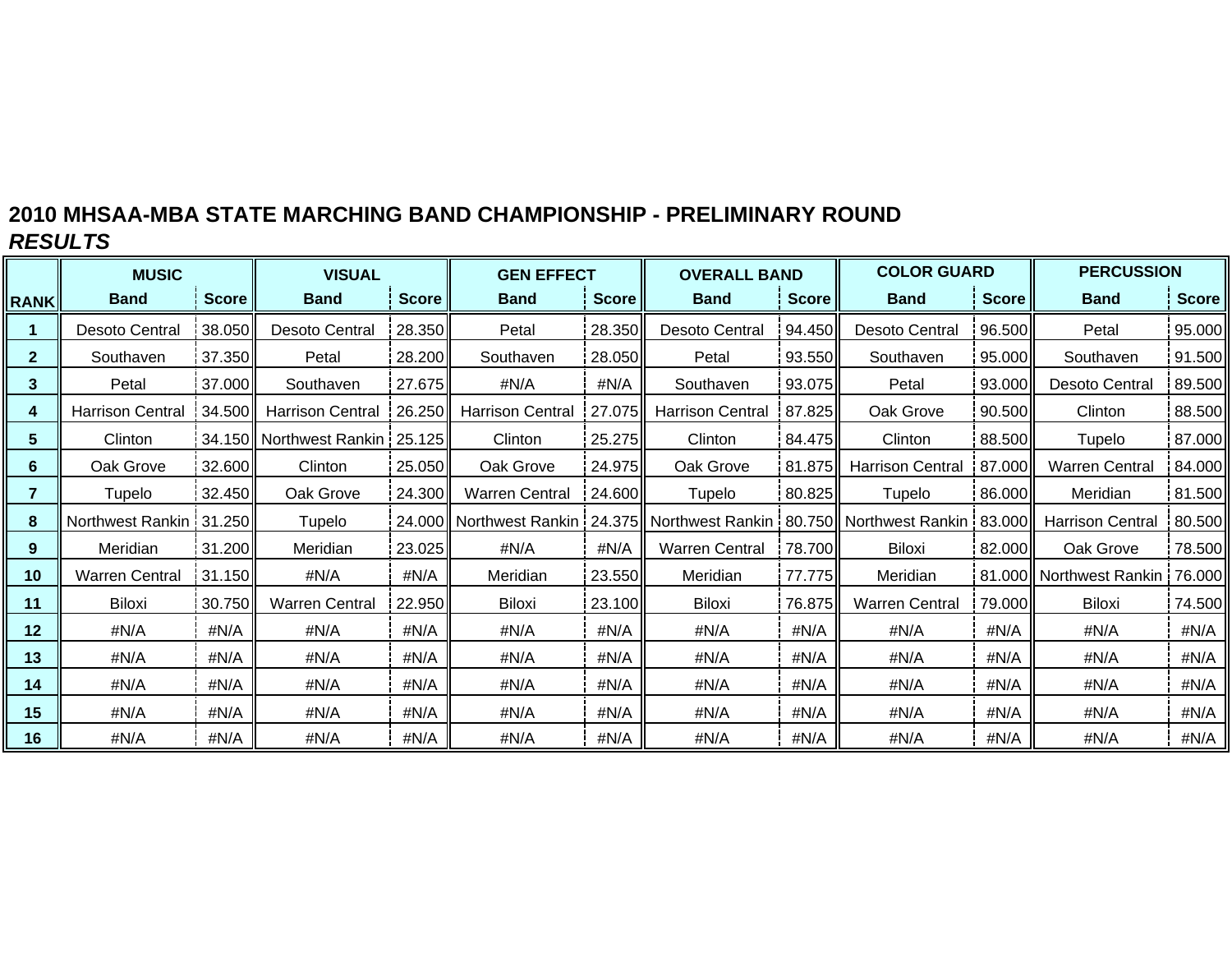|                 | <b>MUSIC</b>            |              | <b>VISUAL</b>                  |               | <b>GEN EFFECT</b>                                                                    |              | <b>OVERALL BAND</b>     |                  | <b>COLOR GUARD</b>      |              | <b>PERCUSSION</b>       |              |
|-----------------|-------------------------|--------------|--------------------------------|---------------|--------------------------------------------------------------------------------------|--------------|-------------------------|------------------|-------------------------|--------------|-------------------------|--------------|
| <b>RANK</b>     | <b>Band</b>             | <b>Score</b> | <b>Band</b>                    | <b>Score</b>  | <b>Band</b>                                                                          | <b>Score</b> | <b>Band</b>             | <b>Score</b>     | <b>Band</b>             | <b>Score</b> | <b>Band</b>             | <b>Score</b> |
|                 | <b>Desoto Central</b>   | 38.050       | Desoto Central                 | 28.350        | Petal                                                                                | 28.350       | Desoto Central          | 94.450           | <b>Desoto Central</b>   | 96.500       | Petal                   | 95.000       |
| $\mathbf{2}$    | Southaven               | 37.350       | Petal                          | 28.200        | Southaven                                                                            | 28.050       | Petal                   | 93.550           | Southaven               | 95.000       | Southaven               | 91.500       |
| 3               | Petal                   | 37.000       | Southaven                      | 27.675        | #N/A                                                                                 | #N/A         | Southaven               | 93.075           | Petal                   | 93.000       | Desoto Central          | 89.500       |
| 4               | <b>Harrison Central</b> | 34.500       | <b>Harrison Central</b>        | $\mid$ 26.250 | <b>Harrison Central</b>                                                              | 27.075       | <b>Harrison Central</b> | 87.825           | Oak Grove               | 90.500       | Clinton                 | 88.500       |
| $5^{\circ}$     | Clinton                 |              | 34.150 Northwest Rankin 25.125 |               | Clinton                                                                              | 25.275       | Clinton                 | 84.475           | Clinton                 | 88.500       | Tupelo                  | 87.000       |
| 6               | Oak Grove               | 32.600       | Clinton                        | 25.050        | Oak Grove                                                                            | 24.975       | Oak Grove               |                  | 81.875 Harrison Central | 87.000       | <b>Warren Central</b>   | 84.000       |
| $\overline{7}$  | Tupelo                  | 32.450       | Oak Grove                      | 24.300        | <b>Warren Central</b>                                                                | 24.600       | Tupelo                  | 80.825           | Tupelo                  | 86.000       | Meridian                | 81.500       |
| 8               | Northwest Rankin 31.250 |              | Tupelo                         |               | 24.000 Northwest Rankin   24.375 Northwest Rankin   80.750 Northwest Rankin   83.000 |              |                         |                  |                         |              | <b>Harrison Central</b> | 80.500       |
| 9               | Meridian                | 31.200       | Meridian                       | 23.025        | #N/A                                                                                 | #N/A         | <b>Warren Central</b>   | 78.700           | Biloxi                  | 82.000       | Oak Grove               | 78.500       |
| 10 <sub>1</sub> | <b>Warren Central</b>   | 31.150       | #N/A                           | #N/A          | Meridian                                                                             | 23.550       | Meridian                | 77.775           | Meridian                | 81.000       | l Northwest Rankin !    | 76.000       |
| 11              | Biloxi                  | 30.750       | <b>Warren Central</b>          | 22.950        | <b>Biloxi</b>                                                                        | 23.100I      | Biloxi                  | 76.875 <b>II</b> | <b>Warren Central</b>   | 79.000       | <b>Biloxi</b>           | 74.500       |
| 12              | #N/A                    | #N/A         | #N/A                           | #N/A          | #N/A                                                                                 | #N/A         | #N/A                    | #N/A             | #N/A                    | #N/A         | #N/A                    | #N/A         |
| 13              | #N/A                    | #N/A         | #N/A                           | #N/A          | #N/A                                                                                 | #N/A         | #N/A                    | #N/A             | #N/A                    | #N/A         | #N/A                    | #N/A         |
| 14              | #N/A                    | #N/A         | #N/A                           | #N/A          | #N/A                                                                                 | #N/A         | #N/A                    | #N/A             | #N/A                    | #N/A         | #N/A                    | #N/A         |
| 15              | #N/A                    | #N/A         | #N/A                           | #N/A          | #N/A                                                                                 | #N/A         | #N/A                    | #N/A             | #N/A                    | #N/A         | #N/A                    | #N/A         |
| 16              | #N/A                    | #N/A         | #N/A                           | #N/A          | #N/A                                                                                 | #N/A         | #N/A                    | #N/A             | #N/A                    | #N/A         | #N/A                    | #N/A         |